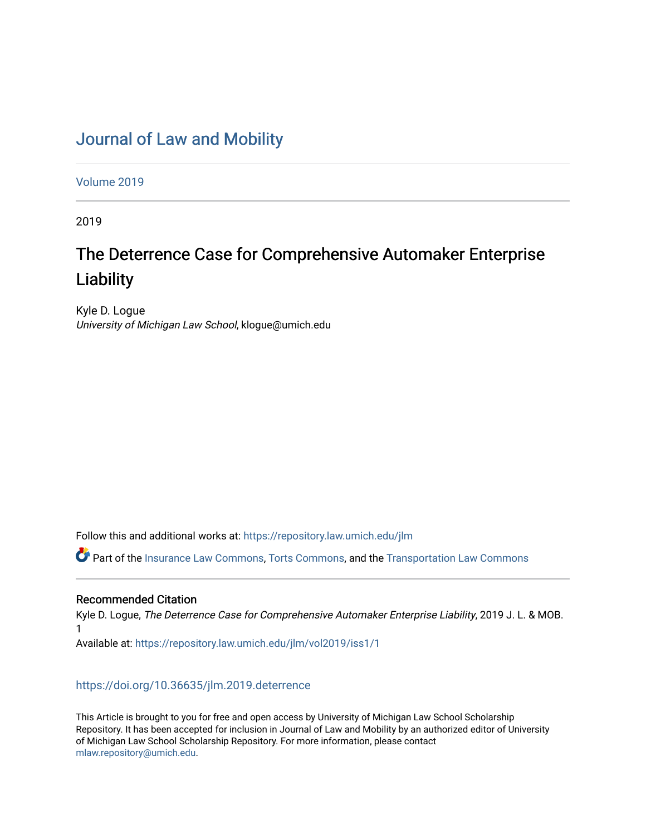# [Journal of Law and Mobility](https://repository.law.umich.edu/jlm)

[Volume 2019](https://repository.law.umich.edu/jlm/vol2019) 

2019

# The Deterrence Case for Comprehensive Automaker Enterprise **Liability**

Kyle D. Logue University of Michigan Law School, klogue@umich.edu

Follow this and additional works at: [https://repository.law.umich.edu/jlm](https://repository.law.umich.edu/jlm?utm_source=repository.law.umich.edu%2Fjlm%2Fvol2019%2Fiss1%2F1&utm_medium=PDF&utm_campaign=PDFCoverPages) 

Part of the [Insurance Law Commons](http://network.bepress.com/hgg/discipline/607?utm_source=repository.law.umich.edu%2Fjlm%2Fvol2019%2Fiss1%2F1&utm_medium=PDF&utm_campaign=PDFCoverPages), [Torts Commons](http://network.bepress.com/hgg/discipline/913?utm_source=repository.law.umich.edu%2Fjlm%2Fvol2019%2Fiss1%2F1&utm_medium=PDF&utm_campaign=PDFCoverPages), and the [Transportation Law Commons](http://network.bepress.com/hgg/discipline/885?utm_source=repository.law.umich.edu%2Fjlm%2Fvol2019%2Fiss1%2F1&utm_medium=PDF&utm_campaign=PDFCoverPages)

## Recommended Citation

Kyle D. Logue, The Deterrence Case for Comprehensive Automaker Enterprise Liability, 2019 J. L. & MOB. 1

Available at: [https://repository.law.umich.edu/jlm/vol2019/iss1/1](https://repository.law.umich.edu/jlm/vol2019/iss1/1?utm_source=repository.law.umich.edu%2Fjlm%2Fvol2019%2Fiss1%2F1&utm_medium=PDF&utm_campaign=PDFCoverPages) 

<https://doi.org/10.36635/jlm.2019.deterrence>

This Article is brought to you for free and open access by University of Michigan Law School Scholarship Repository. It has been accepted for inclusion in Journal of Law and Mobility by an authorized editor of University of Michigan Law School Scholarship Repository. For more information, please contact [mlaw.repository@umich.edu.](mailto:mlaw.repository@umich.edu)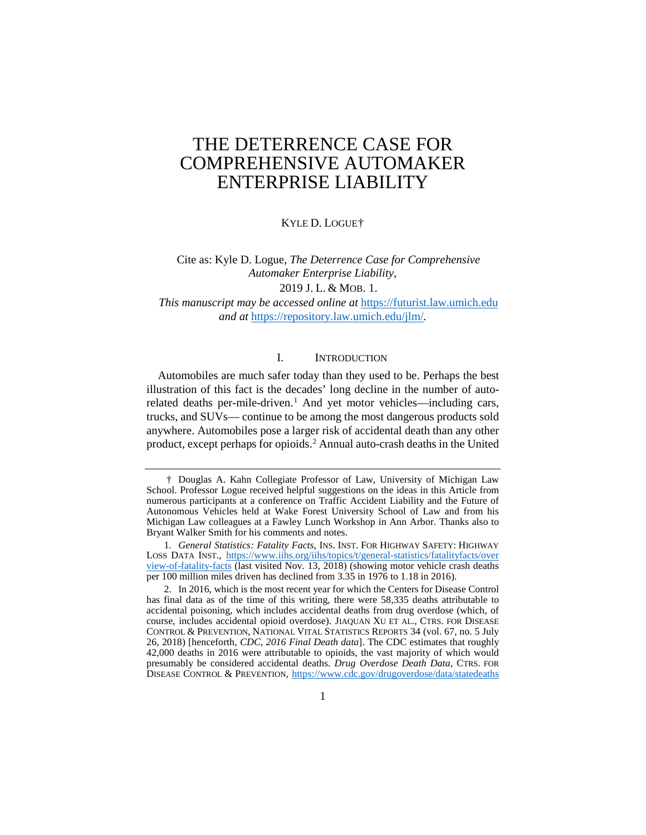KYLE D. LOGUE[†](#page-1-0)

Cite as: Kyle D. Logue, *The Deterrence Case for Comprehensive Automaker Enterprise Liability*, 2019 J. L. & MOB. 1.

*This manuscript may be accessed online at* [https://futurist.law.umich.edu](https://futurist.law.umich.edu/) *and at* <https://repository.law.umich.edu/jlm/>*.*

#### I. INTRODUCTION

Automobiles are much safer today than they used to be. Perhaps the best illustration of this fact is the decades' long decline in the number of auto-related deaths per-mile-driven.<sup>[1](#page-1-1)</sup> And yet motor vehicles—including cars, trucks, and SUVs— continue to be among the most dangerous products sold anywhere. Automobiles pose a larger risk of accidental death than any other product, except perhaps for opioids.[2](#page-1-2) Annual auto-crash deaths in the United

<span id="page-1-0"></span><sup>†</sup> Douglas A. Kahn Collegiate Professor of Law, University of Michigan Law School. Professor Logue received helpful suggestions on the ideas in this Article from numerous participants at a conference on Traffic Accident Liability and the Future of Autonomous Vehicles held at Wake Forest University School of Law and from his Michigan Law colleagues at a Fawley Lunch Workshop in Ann Arbor. Thanks also to Bryant Walker Smith for his comments and notes.

<span id="page-1-1"></span><sup>1</sup>*. General Statistics: Fatality Facts*, INS. INST. FOR HIGHWAY SAFETY: HIGHWAY LOSS DATA INST., [https://www.iihs.org/iihs/topics/t/general-statistics/fatalityfacts/over](https://www.iihs.org/iihs/topics/t/general-statistics/fatalityfacts/overview-of-fatality-facts)  [view-of-fatality-facts](https://www.iihs.org/iihs/topics/t/general-statistics/fatalityfacts/overview-of-fatality-facts) (last visited Nov. 13, 2018) (showing motor vehicle crash deaths per 100 million miles driven has declined from 3.35 in 1976 to 1.18 in 2016).

<span id="page-1-2"></span><sup>2.</sup> In 2016, which is the most recent year for which the Centers for Disease Control has final data as of the time of this writing, there were 58,335 deaths attributable to accidental poisoning, which includes accidental deaths from drug overdose (which, of course, includes accidental opioid overdose). JIAQUAN XU ET AL., CTRS. FOR DISEASE CONTROL & PREVENTION, NATIONAL VITAL STATISTICS REPORTS 34 (vol. 67, no. 5 July 26, 2018) [henceforth, *CDC, 2016 Final Death data*]. The CDC estimates that roughly 42,000 deaths in 2016 were attributable to opioids, the vast majority of which would presumably be considered accidental deaths. *Drug Overdose Death Data*, CTRS. FOR DISEASE CONTROL & PREVENTION, [https://www.cdc.gov/drugoverdose/data/statedeaths](https://www.cdc.gov/drugoverdose/data/statedeaths.html)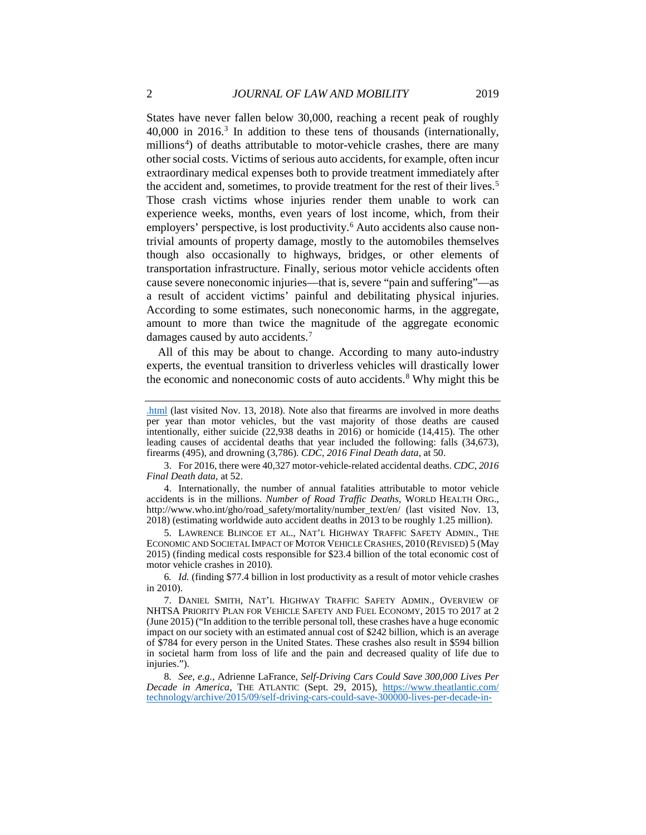States have never fallen below 30,000, reaching a recent peak of roughly  $40,000$  in 2016.<sup>[3](#page-2-0)</sup> In addition to these tens of thousands (internationally, millions<sup>[4](#page-2-1)</sup>) of deaths attributable to motor-vehicle crashes, there are many other social costs. Victims of serious auto accidents, for example, often incur extraordinary medical expenses both to provide treatment immediately after the accident and, sometimes, to provide treatment for the rest of their lives.<sup>[5](#page-2-2)</sup> Those crash victims whose injuries render them unable to work can experience weeks, months, even years of lost income, which, from their employers' perspective, is lost productivity.<sup>[6](#page-2-3)</sup> Auto accidents also cause nontrivial amounts of property damage, mostly to the automobiles themselves though also occasionally to highways, bridges, or other elements of transportation infrastructure. Finally, serious motor vehicle accidents often cause severe noneconomic injuries—that is, severe "pain and suffering"—as a result of accident victims' painful and debilitating physical injuries. According to some estimates, such noneconomic harms, in the aggregate, amount to more than twice the magnitude of the aggregate economic damages caused by auto accidents.<sup>[7](#page-2-4)</sup>

All of this may be about to change. According to many auto-industry experts, the eventual transition to driverless vehicles will drastically lower the economic and noneconomic costs of auto accidents.[8](#page-2-5) Why might this be

<span id="page-2-1"></span>4. Internationally, the number of annual fatalities attributable to motor vehicle accidents is in the millions. *Number of Road Traffic Deaths*, WORLD HEALTH ORG., http://www.who.int/gho/road\_safety/mortality/number\_text/en/ (last visited Nov. 13, 2018) (estimating worldwide auto accident deaths in 2013 to be roughly 1.25 million).

<span id="page-2-2"></span>5. LAWRENCE BLINCOE ET AL., NAT'L HIGHWAY TRAFFIC SAFETY ADMIN., THE ECONOMIC AND SOCIETAL IMPACT OF MOTOR VEHICLE CRASHES, 2010 (REVISED) 5 (May 2015) (finding medical costs responsible for \$23.4 billion of the total economic cost of motor vehicle crashes in 2010).

<span id="page-2-3"></span>6*. Id.* (finding \$77.4 billion in lost productivity as a result of motor vehicle crashes in 2010).

<span id="page-2-5"></span>8*. See, e.g.*, Adrienne LaFrance, *Self-Driving Cars Could Save 300,000 Lives Per Decade in America*, THE ATLANTIC (Sept. 29, 2015), [https://www.theatlantic.com/](https://www.theatlantic.com/technology/archive/2015/09/self-driving-cars-could-save-300000-lives-per-decade-in-america/407956/)  [technology/archive/2015/09/self-driving-cars-could-save-300000-lives-per-decade-in-](https://www.theatlantic.com/technology/archive/2015/09/self-driving-cars-could-save-300000-lives-per-decade-in-america/407956/)

[<sup>.</sup>html](https://www.cdc.gov/drugoverdose/data/statedeaths.html) (last visited Nov. 13, 2018). Note also that firearms are involved in more deaths per year than motor vehicles, but the vast majority of those deaths are caused intentionally, either suicide (22,938 deaths in 2016) or homicide (14,415). The other leading causes of accidental deaths that year included the following: falls (34,673), firearms (495), and drowning (3,786). *CDC, 2016 Final Death data*, at 50.

<span id="page-2-0"></span><sup>3.</sup> For 2016, there were 40,327 motor-vehicle-related accidental deaths. *CDC, 2016 Final Death data*, at 52.

<span id="page-2-4"></span><sup>7.</sup> DANIEL SMITH, NAT'L HIGHWAY TRAFFIC SAFETY ADMIN., OVERVIEW OF NHTSA PRIORITY PLAN FOR VEHICLE SAFETY AND FUEL ECONOMY, 2015 TO 2017 at 2 (June 2015) ("In addition to the terrible personal toll, these crashes have a huge economic impact on our society with an estimated annual cost of \$242 billion, which is an average of \$784 for every person in the United States. These crashes also result in \$594 billion in societal harm from loss of life and the pain and decreased quality of life due to injuries.").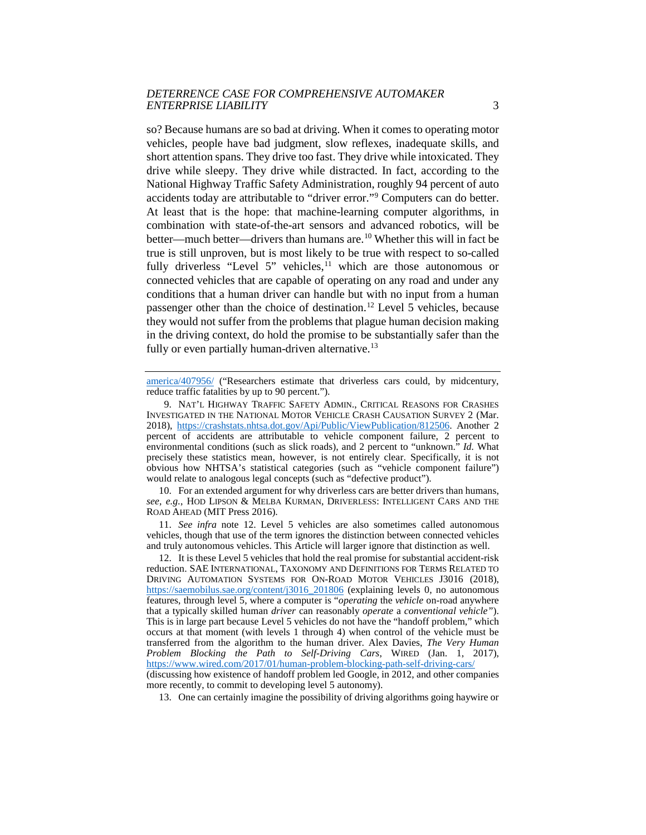so? Because humans are so bad at driving. When it comes to operating motor vehicles, people have bad judgment, slow reflexes, inadequate skills, and short attention spans. They drive too fast. They drive while intoxicated. They drive while sleepy. They drive while distracted. In fact, according to the National Highway Traffic Safety Administration, roughly 94 percent of auto accidents today are attributable to "driver error."[9](#page-3-0) Computers can do better. At least that is the hope: that machine-learning computer algorithms, in combination with state-of-the-art sensors and advanced robotics, will be better—much better—drivers than humans are.<sup>10</sup> Whether this will in fact be true is still unproven, but is most likely to be true with respect to so-called fully driverless "Level 5" vehicles, $11$  which are those autonomous or connected vehicles that are capable of operating on any road and under any conditions that a human driver can handle but with no input from a human passenger other than the choice of destination.<sup>[12](#page-3-3)</sup> Level 5 vehicles, because they would not suffer from the problems that plague human decision making in the driving context, do hold the promise to be substantially safer than the fully or even partially human-driven alternative.<sup>13</sup>

[america/407956/](https://www.theatlantic.com/technology/archive/2015/09/self-driving-cars-could-save-300000-lives-per-decade-in-america/407956/) ("Researchers estimate that driverless cars could, by midcentury, reduce traffic fatalities by up to 90 percent.").

<span id="page-3-1"></span>10. For an extended argument for why driverless cars are better drivers than humans, *see, e.g.*, HOD LIPSON & MELBA KURMAN, DRIVERLESS: INTELLIGENT CARS AND THE ROAD AHEAD (MIT Press 2016).

<span id="page-3-2"></span>11. *See infra* note 12. Level 5 vehicles are also sometimes called autonomous vehicles, though that use of the term ignores the distinction between connected vehicles and truly autonomous vehicles. This Article will larger ignore that distinction as well.

<span id="page-3-3"></span>12. It is these Level 5 vehicles that hold the real promise for substantial accident-risk reduction. SAE INTERNATIONAL, TAXONOMY AND DEFINITIONS FOR TERMS RELATED TO DRIVING AUTOMATION SYSTEMS FOR ON-ROAD MOTOR VEHICLES J3016 (2018), [https://saemobilus.sae.org/content/j3016\\_201806](https://saemobilus.sae.org/content/j3016_201806) (explaining levels 0, no autonomous features, through level 5, where a computer is "*operating* the *vehicle* on-road anywhere that a typically skilled human *driver* can reasonably *operate* a *conventional vehicle"*). This is in large part because Level 5 vehicles do not have the "handoff problem," which occurs at that moment (with levels 1 through 4) when control of the vehicle must be transferred from the algorithm to the human driver. Alex Davies, *The Very Human Problem Blocking the Path to Self-Driving Cars*, WIRED (Jan. 1, 2017), <https://www.wired.com/2017/01/human-problem-blocking-path-self-driving-cars/>

<span id="page-3-4"></span>(discussing how existence of handoff problem led Google, in 2012, and other companies more recently, to commit to developing level 5 autonomy).

13. One can certainly imagine the possibility of driving algorithms going haywire or

<span id="page-3-0"></span><sup>9.</sup> NAT'L HIGHWAY TRAFFIC SAFETY ADMIN., CRITICAL REASONS FOR CRASHES INVESTIGATED IN THE NATIONAL MOTOR VEHICLE CRASH CAUSATION SURVEY 2 (Mar. 2018), [https://crashstats.nhtsa.dot.gov/Api/Public/ViewPublication/812506.](https://crashstats.nhtsa.dot.gov/Api/Public/ViewPublication/812506) Another 2 percent of accidents are attributable to vehicle component failure, 2 percent to environmental conditions (such as slick roads), and 2 percent to "unknown." *Id.* What precisely these statistics mean, however, is not entirely clear. Specifically, it is not obvious how NHTSA's statistical categories (such as "vehicle component failure") would relate to analogous legal concepts (such as "defective product").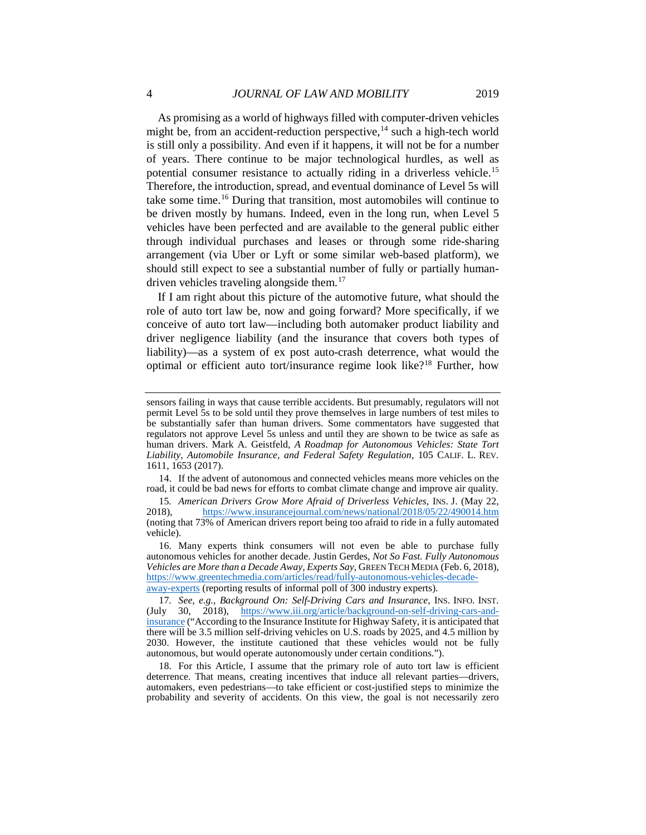As promising as a world of highways filled with computer-driven vehicles might be, from an accident-reduction perspective,  $^{14}$  $^{14}$  $^{14}$  such a high-tech world is still only a possibility. And even if it happens, it will not be for a number of years. There continue to be major technological hurdles, as well as potential consumer resistance to actually riding in a driverless vehicle.[15](#page-4-1) Therefore, the introduction, spread, and eventual dominance of Level 5s will take some time.<sup>[16](#page-4-2)</sup> During that transition, most automobiles will continue to be driven mostly by humans. Indeed, even in the long run, when Level 5 vehicles have been perfected and are available to the general public either through individual purchases and leases or through some ride-sharing arrangement (via Uber or Lyft or some similar web-based platform), we should still expect to see a substantial number of fully or partially human-driven vehicles traveling alongside them.<sup>[17](#page-4-3)</sup>

If I am right about this picture of the automotive future, what should the role of auto tort law be, now and going forward? More specifically, if we conceive of auto tort law—including both automaker product liability and driver negligence liability (and the insurance that covers both types of liability)—as a system of ex post auto-crash deterrence, what would the optimal or efficient auto tort/insurance regime look like[?18](#page-4-4) Further, how

<span id="page-4-0"></span>14. If the advent of autonomous and connected vehicles means more vehicles on the road, it could be bad news for efforts to combat climate change and improve air quality.

<span id="page-4-1"></span>15*. American Drivers Grow More Afraid of Driverless Vehicles*, INS. J. (May 22, 2018), <https://www.insurancejournal.com/news/national/2018/05/22/490014.htm> (noting that 73% of American drivers report being too afraid to ride in a fully automated vehicle).

sensors failing in ways that cause terrible accidents. But presumably, regulators will not permit Level 5s to be sold until they prove themselves in large numbers of test miles to be substantially safer than human drivers. Some commentators have suggested that regulators not approve Level 5s unless and until they are shown to be twice as safe as human drivers. Mark A. Geistfeld, *A Roadmap for Autonomous Vehicles: State Tort Liability, Automobile Insurance, and Federal Safety Regulation*, 105 CALIF. L. REV. 1611, 1653 (2017).

<span id="page-4-2"></span><sup>16.</sup> Many experts think consumers will not even be able to purchase fully autonomous vehicles for another decade. Justin Gerdes, *Not So Fast. Fully Autonomous Vehicles are More than a Decade Away, Experts Say*, GREEN TECH MEDIA (Feb. 6, 2018), [https://www.greentechmedia.com/articles/read/fully-autonomous-vehicles-decade](https://www.greentechmedia.com/articles/read/fully-autonomous-vehicles-decade-away-experts)[away-experts](https://www.greentechmedia.com/articles/read/fully-autonomous-vehicles-decade-away-experts) (reporting results of informal poll of 300 industry experts).

<span id="page-4-3"></span><sup>17</sup>*. See, e.g.*, *Background On: Self-Driving Cars and Insurance*, INS. INFO. INST. (July 30, 2018), [https://www.iii.org/article/background-on-self-driving-cars-and](https://www.iii.org/article/background-on-self-driving-cars-and-insurance)[insurance](https://www.iii.org/article/background-on-self-driving-cars-and-insurance) ("According to the Insurance Institute for Highway Safety, it is anticipated that there will be 3.5 million self-driving vehicles on U.S. roads by 2025, and 4.5 million by 2030. However, the institute cautioned that these vehicles would not be fully autonomous, but would operate autonomously under certain conditions.").

<span id="page-4-4"></span><sup>18.</sup> For this Article, I assume that the primary role of auto tort law is efficient deterrence. That means, creating incentives that induce all relevant parties—drivers, automakers, even pedestrians—to take efficient or cost-justified steps to minimize the probability and severity of accidents. On this view, the goal is not necessarily zero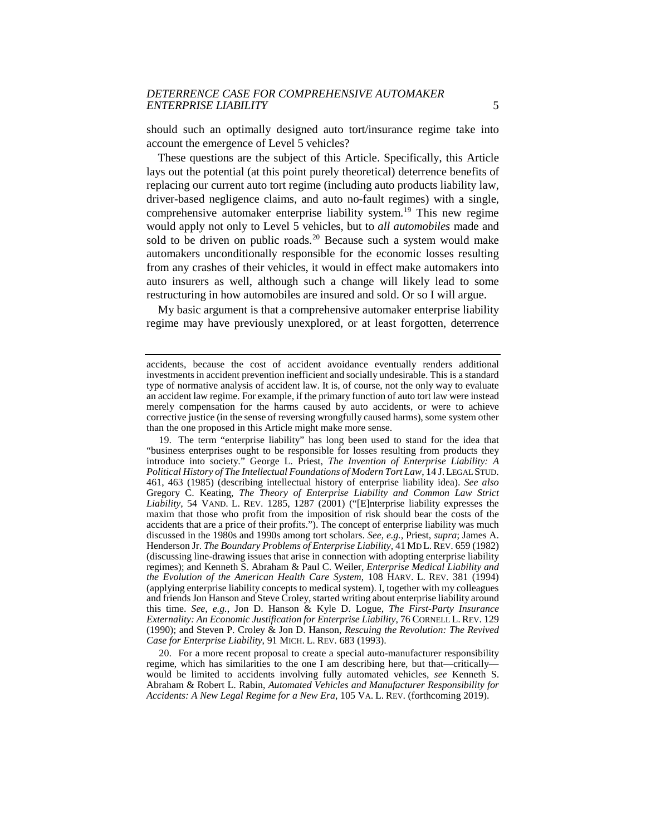should such an optimally designed auto tort/insurance regime take into account the emergence of Level 5 vehicles?

These questions are the subject of this Article. Specifically, this Article lays out the potential (at this point purely theoretical) deterrence benefits of replacing our current auto tort regime (including auto products liability law, driver-based negligence claims, and auto no-fault regimes) with a single, comprehensive automaker enterprise liability system.<sup>[19](#page-5-0)</sup> This new regime would apply not only to Level 5 vehicles, but to *all automobiles* made and sold to be driven on public roads.<sup>[20](#page-5-1)</sup> Because such a system would make automakers unconditionally responsible for the economic losses resulting from any crashes of their vehicles, it would in effect make automakers into auto insurers as well, although such a change will likely lead to some restructuring in how automobiles are insured and sold. Or so I will argue.

My basic argument is that a comprehensive automaker enterprise liability regime may have previously unexplored, or at least forgotten, deterrence

<span id="page-5-0"></span>19. The term "enterprise liability" has long been used to stand for the idea that "business enterprises ought to be responsible for losses resulting from products they introduce into society." George L. Priest, *The Invention of Enterprise Liability: A Political History of The Intellectual Foundations of Modern Tort Law*, 14 J. LEGAL STUD. 461, 463 (1985) (describing intellectual history of enterprise liability idea). *See also* Gregory C. Keating, *The Theory of Enterprise Liability and Common Law Strict Liability*, 54 VAND. L. REV. 1285, 1287 (2001) ("[E]nterprise liability expresses the maxim that those who profit from the imposition of risk should bear the costs of the accidents that are a price of their profits."). The concept of enterprise liability was much discussed in the 1980s and 1990s among tort scholars. *See, e.g.,* Priest, *supra*; James A. Henderson Jr. *The Boundary Problems of Enterprise Liability,* 41 MD L. REV. 659 (1982) (discussing line-drawing issues that arise in connection with adopting enterprise liability regimes); and Kenneth S. Abraham & Paul C. Weiler, *Enterprise Medical Liability and the Evolution of the American Health Care System*, 108 HARV. L. REV. 381 (1994) (applying enterprise liability concepts to medical system). I, together with my colleagues and friends Jon Hanson and Steve Croley, started writing about enterprise liability around this time. *See, e.g.*, Jon D. Hanson & Kyle D. Logue, *The First-Party Insurance Externality: An Economic Justification for Enterprise Liability*, 76 CORNELL L. REV. 129 (1990); and Steven P. Croley & Jon D. Hanson, *Rescuing the Revolution: The Revived Case for Enterprise Liability*, 91 MICH. L. REV. 683 (1993).

<span id="page-5-1"></span>20. For a more recent proposal to create a special auto-manufacturer responsibility regime, which has similarities to the one I am describing here, but that—critically would be limited to accidents involving fully automated vehicles, *see* Kenneth S. Abraham & Robert L. Rabin, *Automated Vehicles and Manufacturer Responsibility for Accidents: A New Legal Regime for a New Era*, 105 VA. L. REV. (forthcoming 2019).

accidents, because the cost of accident avoidance eventually renders additional investments in accident prevention inefficient and socially undesirable. This is a standard type of normative analysis of accident law. It is, of course, not the only way to evaluate an accident law regime. For example, if the primary function of auto tort law were instead merely compensation for the harms caused by auto accidents, or were to achieve corrective justice (in the sense of reversing wrongfully caused harms), some system other than the one proposed in this Article might make more sense.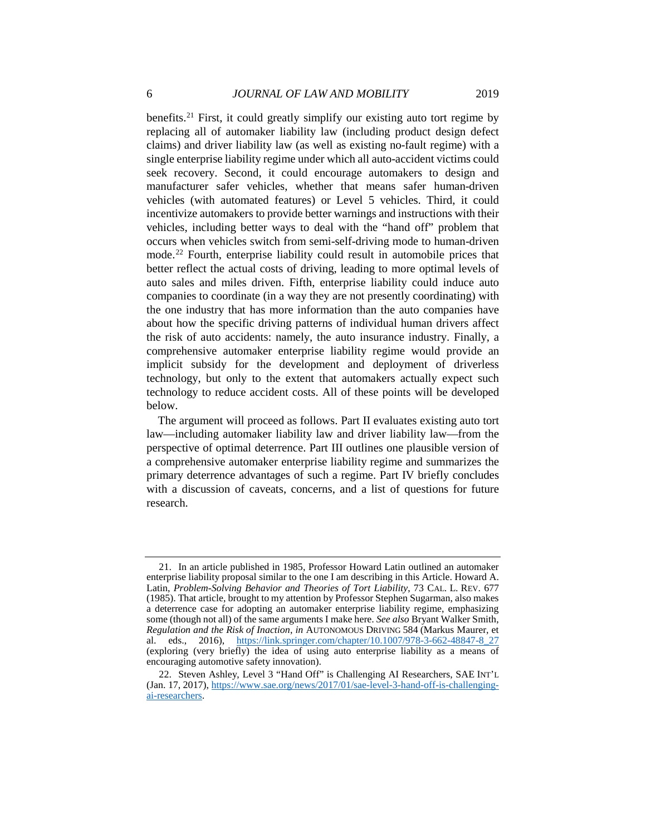benefits.<sup>[21](#page-6-0)</sup> First, it could greatly simplify our existing auto tort regime by replacing all of automaker liability law (including product design defect claims) and driver liability law (as well as existing no-fault regime) with a single enterprise liability regime under which all auto-accident victims could seek recovery. Second, it could encourage automakers to design and manufacturer safer vehicles, whether that means safer human-driven vehicles (with automated features) or Level 5 vehicles. Third, it could incentivize automakers to provide better warnings and instructions with their vehicles, including better ways to deal with the "hand off" problem that occurs when vehicles switch from semi-self-driving mode to human-driven mode.[22](#page-6-1) Fourth, enterprise liability could result in automobile prices that better reflect the actual costs of driving, leading to more optimal levels of auto sales and miles driven. Fifth, enterprise liability could induce auto companies to coordinate (in a way they are not presently coordinating) with the one industry that has more information than the auto companies have about how the specific driving patterns of individual human drivers affect the risk of auto accidents: namely, the auto insurance industry. Finally, a comprehensive automaker enterprise liability regime would provide an implicit subsidy for the development and deployment of driverless technology, but only to the extent that automakers actually expect such technology to reduce accident costs. All of these points will be developed below.

The argument will proceed as follows. Part II evaluates existing auto tort law—including automaker liability law and driver liability law—from the perspective of optimal deterrence. Part III outlines one plausible version of a comprehensive automaker enterprise liability regime and summarizes the primary deterrence advantages of such a regime. Part IV briefly concludes with a discussion of caveats, concerns, and a list of questions for future research.

<span id="page-6-0"></span><sup>21.</sup> In an article published in 1985, Professor Howard Latin outlined an automaker enterprise liability proposal similar to the one I am describing in this Article. Howard A. Latin, *Problem-Solving Behavior and Theories of Tort Liability*, 73 CAL. L. REV. 677 (1985). That article, brought to my attention by Professor Stephen Sugarman, also makes a deterrence case for adopting an automaker enterprise liability regime, emphasizing some (though not all) of the same arguments I make here. *See also* Bryant Walker Smith, *Regulation and the Risk of Inaction*, *in* AUTONOMOUS DRIVING 584 (Markus Maurer, et al. eds., 2016), [https://link.springer.com/chapter/10.1007/978-3-662-48847-8\\_27](https://link.springer.com/chapter/10.1007/978-3-662-48847-8_27) (exploring (very briefly) the idea of using auto enterprise liability as a means of encouraging automotive safety innovation).

<span id="page-6-1"></span><sup>22.</sup> Steven Ashley, Level 3 "Hand Off" is Challenging AI Researchers, SAE INT'L (Jan. 17, 2017)[, https://www.sae.org/news/2017/01/sae-level-3-hand-off-is-challenging](https://www.sae.org/news/2017/01/sae-level-3-hand-off-is-challenging-ai-researchers)[ai-researchers.](https://www.sae.org/news/2017/01/sae-level-3-hand-off-is-challenging-ai-researchers)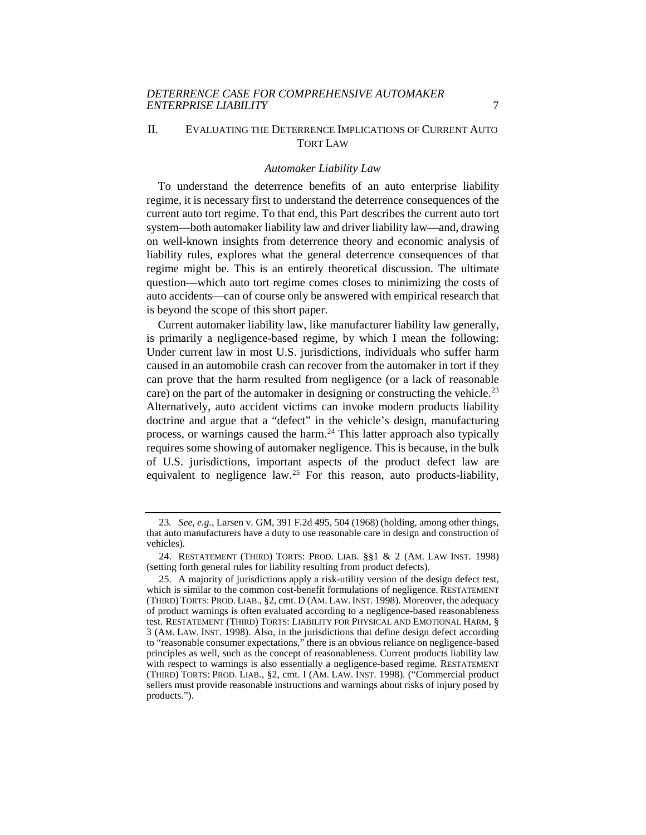#### II. EVALUATING THE DETERRENCE IMPLICATIONS OF CURRENT AUTO TORT LAW

#### *Automaker Liability Law*

To understand the deterrence benefits of an auto enterprise liability regime, it is necessary first to understand the deterrence consequences of the current auto tort regime. To that end, this Part describes the current auto tort system—both automaker liability law and driver liability law—and, drawing on well-known insights from deterrence theory and economic analysis of liability rules, explores what the general deterrence consequences of that regime might be. This is an entirely theoretical discussion. The ultimate question—which auto tort regime comes closes to minimizing the costs of auto accidents—can of course only be answered with empirical research that is beyond the scope of this short paper.

Current automaker liability law, like manufacturer liability law generally, is primarily a negligence-based regime, by which I mean the following: Under current law in most U.S. jurisdictions, individuals who suffer harm caused in an automobile crash can recover from the automaker in tort if they can prove that the harm resulted from negligence (or a lack of reasonable care) on the part of the automaker in designing or constructing the vehicle.<sup>[23](#page-7-0)</sup> Alternatively, auto accident victims can invoke modern products liability doctrine and argue that a "defect" in the vehicle's design, manufacturing process, or warnings caused the harm.<sup>[24](#page-7-1)</sup> This latter approach also typically requires some showing of automaker negligence. This is because, in the bulk of U.S. jurisdictions, important aspects of the product defect law are equivalent to negligence law.<sup>[25](#page-7-2)</sup> For this reason, auto products-liability,

<span id="page-7-0"></span><sup>23</sup>*. See, e.g.*, Larsen v. GM, 391 F.2d 495, 504 (1968) (holding, among other things, that auto manufacturers have a duty to use reasonable care in design and construction of vehicles).

<span id="page-7-1"></span><sup>24.</sup> RESTATEMENT (THIRD) TORTS: PROD. LIAB. §§1 & 2 (AM. LAW INST. 1998) (setting forth general rules for liability resulting from product defects).

<span id="page-7-2"></span><sup>25.</sup> A majority of jurisdictions apply a risk-utility version of the design defect test, which is similar to the common cost-benefit formulations of negligence. RESTATEMENT (THIRD) TORTS: PROD. LIAB., §2, cmt. D (AM. LAW. INST. 1998). Moreover, the adequacy of product warnings is often evaluated according to a negligence-based reasonableness test. RESTATEMENT (THIRD) TORTS: LIABILITY FOR PHYSICAL AND EMOTIONAL HARM, § 3 (AM. LAW. INST. 1998). Also, in the jurisdictions that define design defect according to "reasonable consumer expectations," there is an obvious reliance on negligence-based principles as well, such as the concept of reasonableness. Current products liability law with respect to warnings is also essentially a negligence-based regime. RESTATEMENT (THIRD) TORTS: PROD. LIAB., §2, cmt. I (AM. LAW. INST. 1998). ("Commercial product sellers must provide reasonable instructions and warnings about risks of injury posed by products.").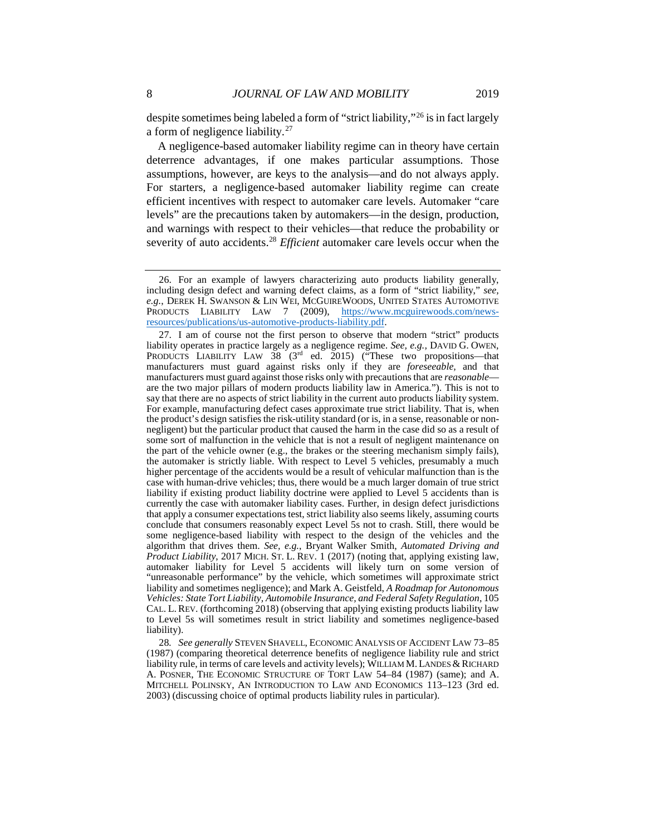despite sometimes being labeled a form of "strict liability,"[26](#page-8-0) is in fact largely a form of negligence liability.[27](#page-8-1)

A negligence-based automaker liability regime can in theory have certain deterrence advantages, if one makes particular assumptions. Those assumptions, however, are keys to the analysis—and do not always apply. For starters, a negligence-based automaker liability regime can create efficient incentives with respect to automaker care levels. Automaker "care levels" are the precautions taken by automakers—in the design, production, and warnings with respect to their vehicles—that reduce the probability or severity of auto accidents.[28](#page-8-2) *Efficient* automaker care levels occur when the

<span id="page-8-0"></span><sup>26.</sup> For an example of lawyers characterizing auto products liability generally, including design defect and warning defect claims, as a form of "strict liability," *see, e.g.*, DEREK H. SWANSON & LIN WEI, MCGUIREWOODS, UNITED STATES AUTOMOTIVE PRODUCTS LIABILITY LAW 7 (2009), [https://www.mcguirewoods.com/news](https://www.mcguirewoods.com/news-resources/publications/us-automotive-products-liability.pdf)[resources/publications/us-automotive-products-liability.pdf.](https://www.mcguirewoods.com/news-resources/publications/us-automotive-products-liability.pdf)

<span id="page-8-1"></span><sup>27.</sup> I am of course not the first person to observe that modern "strict" products liability operates in practice largely as a negligence regime. *See, e.g.,* DAVID G. OWEN, PRODUCTS LIABILITY LAW  $38 \text{ } (3^{rd} \text{ } ed. 2015)$  ("These two propositions—that manufacturers must guard against risks only if they are *foreseeable,* and that manufacturers must guard against those risks only with precautions that are *reasonable* are the two major pillars of modern products liability law in America."). This is not to say that there are no aspects of strict liability in the current auto products liability system. For example, manufacturing defect cases approximate true strict liability. That is, when the product's design satisfies the risk-utility standard (or is, in a sense, reasonable or nonnegligent) but the particular product that caused the harm in the case did so as a result of some sort of malfunction in the vehicle that is not a result of negligent maintenance on the part of the vehicle owner (e.g., the brakes or the steering mechanism simply fails), the automaker is strictly liable. With respect to Level 5 vehicles, presumably a much higher percentage of the accidents would be a result of vehicular malfunction than is the case with human-drive vehicles; thus, there would be a much larger domain of true strict liability if existing product liability doctrine were applied to Level 5 accidents than is currently the case with automaker liability cases. Further, in design defect jurisdictions that apply a consumer expectations test, strict liability also seems likely, assuming courts conclude that consumers reasonably expect Level 5s not to crash. Still, there would be some negligence-based liability with respect to the design of the vehicles and the algorithm that drives them. *See, e.g.*, Bryant Walker Smith, *Automated Driving and Product Liability*, 2017 MICH. ST. L. REV. 1 (2017) (noting that, applying existing law, automaker liability for Level 5 accidents will likely turn on some version of "unreasonable performance" by the vehicle, which sometimes will approximate strict liability and sometimes negligence); and Mark A. Geistfeld, *A Roadmap for Autonomous Vehicles: State Tort Liability, Automobile Insurance, and Federal Safety Regulation*, 105 CAL. L. REV. (forthcoming 2018) (observing that applying existing products liability law to Level 5s will sometimes result in strict liability and sometimes negligence-based liability).

<span id="page-8-2"></span><sup>28</sup>*. See generally* STEVEN SHAVELL, ECONOMIC ANALYSIS OF ACCIDENT LAW 73–85 (1987) (comparing theoretical deterrence benefits of negligence liability rule and strict liability rule, in terms of care levels and activity levels); WILLIAM M. LANDES & RICHARD A. POSNER, THE ECONOMIC STRUCTURE OF TORT LAW 54–84 (1987) (same); and A. MITCHELL POLINSKY, AN INTRODUCTION TO LAW AND ECONOMICS 113–123 (3rd ed. 2003) (discussing choice of optimal products liability rules in particular).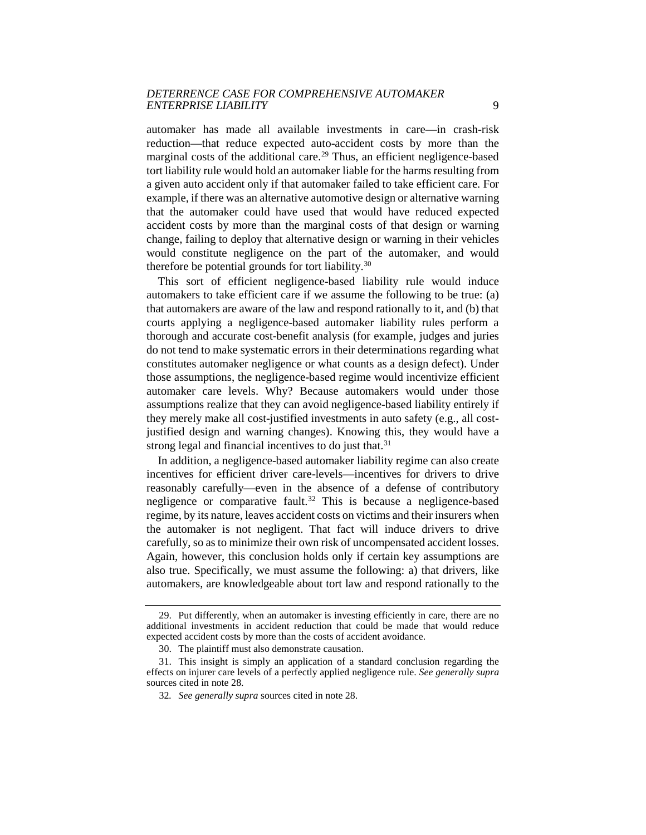automaker has made all available investments in care—in crash-risk reduction—that reduce expected auto-accident costs by more than the marginal costs of the additional care.<sup>[29](#page-9-0)</sup> Thus, an efficient negligence-based tort liability rule would hold an automaker liable for the harms resulting from a given auto accident only if that automaker failed to take efficient care. For example, if there was an alternative automotive design or alternative warning that the automaker could have used that would have reduced expected accident costs by more than the marginal costs of that design or warning change, failing to deploy that alternative design or warning in their vehicles would constitute negligence on the part of the automaker, and would therefore be potential grounds for tort liability.<sup>[30](#page-9-1)</sup>

This sort of efficient negligence-based liability rule would induce automakers to take efficient care if we assume the following to be true: (a) that automakers are aware of the law and respond rationally to it, and (b) that courts applying a negligence-based automaker liability rules perform a thorough and accurate cost-benefit analysis (for example, judges and juries do not tend to make systematic errors in their determinations regarding what constitutes automaker negligence or what counts as a design defect). Under those assumptions, the negligence-based regime would incentivize efficient automaker care levels. Why? Because automakers would under those assumptions realize that they can avoid negligence-based liability entirely if they merely make all cost-justified investments in auto safety (e.g., all costjustified design and warning changes). Knowing this, they would have a strong legal and financial incentives to do just that.<sup>[31](#page-9-2)</sup>

In addition, a negligence-based automaker liability regime can also create incentives for efficient driver care-levels—incentives for drivers to drive reasonably carefully—even in the absence of a defense of contributory negligence or comparative fault.<sup>[32](#page-9-3)</sup> This is because a negligence-based regime, by its nature, leaves accident costs on victims and their insurers when the automaker is not negligent. That fact will induce drivers to drive carefully, so as to minimize their own risk of uncompensated accident losses. Again, however, this conclusion holds only if certain key assumptions are also true. Specifically, we must assume the following: a) that drivers, like automakers, are knowledgeable about tort law and respond rationally to the

<span id="page-9-0"></span><sup>29.</sup> Put differently, when an automaker is investing efficiently in care, there are no additional investments in accident reduction that could be made that would reduce expected accident costs by more than the costs of accident avoidance.

<sup>30.</sup> The plaintiff must also demonstrate causation.

<span id="page-9-3"></span><span id="page-9-2"></span><span id="page-9-1"></span><sup>31.</sup> This insight is simply an application of a standard conclusion regarding the effects on injurer care levels of a perfectly applied negligence rule. *See generally supra* sources cited in note 28.

<sup>32</sup>*. See generally supra* sources cited in note 28.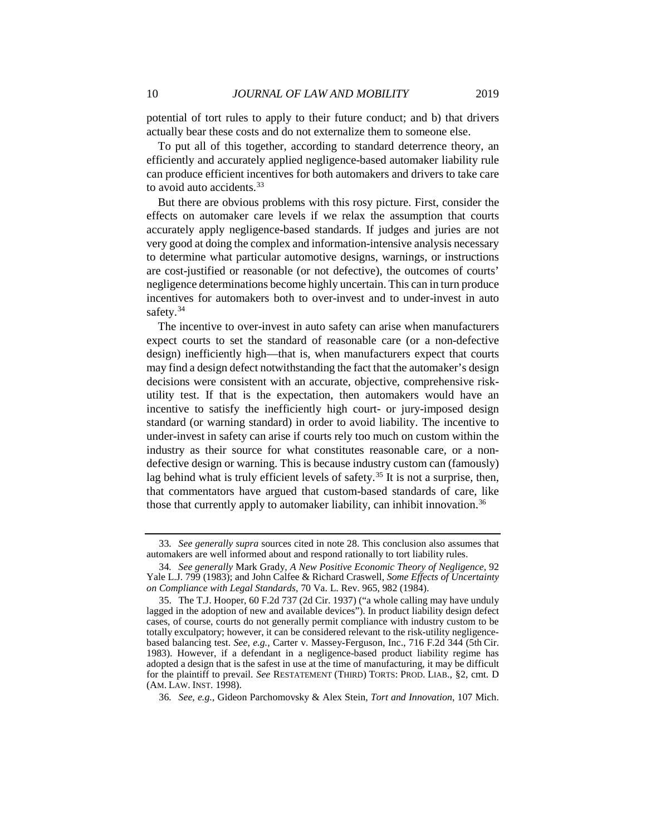potential of tort rules to apply to their future conduct; and b) that drivers actually bear these costs and do not externalize them to someone else.

To put all of this together, according to standard deterrence theory, an efficiently and accurately applied negligence-based automaker liability rule can produce efficient incentives for both automakers and drivers to take care to avoid auto accidents. $33$ 

But there are obvious problems with this rosy picture. First, consider the effects on automaker care levels if we relax the assumption that courts accurately apply negligence-based standards. If judges and juries are not very good at doing the complex and information-intensive analysis necessary to determine what particular automotive designs, warnings, or instructions are cost-justified or reasonable (or not defective), the outcomes of courts' negligence determinations become highly uncertain. This can in turn produce incentives for automakers both to over-invest and to under-invest in auto safety.<sup>[34](#page-10-1)</sup>

The incentive to over-invest in auto safety can arise when manufacturers expect courts to set the standard of reasonable care (or a non-defective design) inefficiently high—that is, when manufacturers expect that courts may find a design defect notwithstanding the fact that the automaker's design decisions were consistent with an accurate, objective, comprehensive riskutility test. If that is the expectation, then automakers would have an incentive to satisfy the inefficiently high court- or jury-imposed design standard (or warning standard) in order to avoid liability. The incentive to under-invest in safety can arise if courts rely too much on custom within the industry as their source for what constitutes reasonable care, or a nondefective design or warning. This is because industry custom can (famously) lag behind what is truly efficient levels of safety.<sup>[35](#page-10-2)</sup> It is not a surprise, then, that commentators have argued that custom-based standards of care, like those that currently apply to automaker liability, can inhibit innovation.<sup>[36](#page-10-3)</sup>

<span id="page-10-0"></span><sup>33</sup>*. See generally supra* sources cited in note 28. This conclusion also assumes that automakers are well informed about and respond rationally to tort liability rules.

<span id="page-10-1"></span><sup>34</sup>*. See generally* Mark Grady, *A New Positive Economic Theory of Negligence,* 92 Yale L.J. 799 (1983); and John Calfee & Richard Craswell, *Some Effects of Uncertainty on Compliance with Legal Standards*, 70 Va. L. Rev. 965, 982 (1984).

<span id="page-10-2"></span><sup>35.</sup> The T.J. Hooper, 60 F.2d 737 (2d Cir. 1937) ("a whole calling may have unduly lagged in the adoption of new and available devices"). In product liability design defect cases, of course, courts do not generally permit compliance with industry custom to be totally exculpatory; however, it can be considered relevant to the risk-utility negligencebased balancing test. *See, e.g.,* Carter v. Massey-Ferguson, Inc., 716 F.2d 344 (5th Cir. 1983). However, if a defendant in a negligence-based product liability regime has adopted a design that is the safest in use at the time of manufacturing, it may be difficult for the plaintiff to prevail. *See* RESTATEMENT (THIRD) TORTS: PROD. LIAB., §2, cmt. D (AM. LAW. INST. 1998).

<span id="page-10-3"></span><sup>36</sup>*. See, e.g.,* Gideon Parchomovsky & Alex Stein*, Tort and Innovation*, 107 Mich.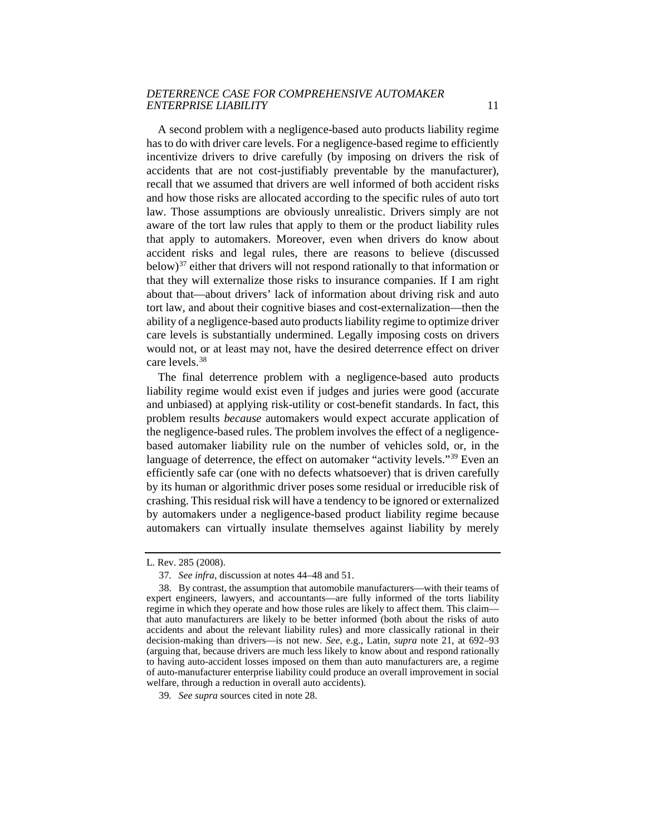A second problem with a negligence-based auto products liability regime has to do with driver care levels. For a negligence-based regime to efficiently incentivize drivers to drive carefully (by imposing on drivers the risk of accidents that are not cost-justifiably preventable by the manufacturer), recall that we assumed that drivers are well informed of both accident risks and how those risks are allocated according to the specific rules of auto tort law. Those assumptions are obviously unrealistic. Drivers simply are not aware of the tort law rules that apply to them or the product liability rules that apply to automakers. Moreover, even when drivers do know about accident risks and legal rules, there are reasons to believe (discussed below) $37$  either that drivers will not respond rationally to that information or that they will externalize those risks to insurance companies. If I am right about that—about drivers' lack of information about driving risk and auto tort law, and about their cognitive biases and cost-externalization—then the ability of a negligence-based auto products liability regime to optimize driver care levels is substantially undermined. Legally imposing costs on drivers would not, or at least may not, have the desired deterrence effect on driver care levels.[38](#page-11-1)

The final deterrence problem with a negligence-based auto products liability regime would exist even if judges and juries were good (accurate and unbiased) at applying risk-utility or cost-benefit standards. In fact, this problem results *because* automakers would expect accurate application of the negligence-based rules. The problem involves the effect of a negligencebased automaker liability rule on the number of vehicles sold, or, in the language of deterrence, the effect on automaker "activity levels."<sup>[39](#page-11-2)</sup> Even an efficiently safe car (one with no defects whatsoever) that is driven carefully by its human or algorithmic driver poses some residual or irreducible risk of crashing. This residual risk will have a tendency to be ignored or externalized by automakers under a negligence-based product liability regime because automakers can virtually insulate themselves against liability by merely

<span id="page-11-0"></span>L. Rev. 285 (2008).

<sup>37</sup>*. See infra*, discussion at notes 44–48 and 51.

<span id="page-11-1"></span><sup>38.</sup> By contrast, the assumption that automobile manufacturers—with their teams of expert engineers, lawyers, and accountants—are fully informed of the torts liability regime in which they operate and how those rules are likely to affect them. This claim that auto manufacturers are likely to be better informed (both about the risks of auto accidents and about the relevant liability rules) and more classically rational in their decision-making than drivers—is not new. *See*, e.g., Latin, *supra* note 21, at 692–93 (arguing that, because drivers are much less likely to know about and respond rationally to having auto-accident losses imposed on them than auto manufacturers are, a regime of auto-manufacturer enterprise liability could produce an overall improvement in social welfare, through a reduction in overall auto accidents).

<span id="page-11-2"></span><sup>39</sup>*. See supra* sources cited in note 28.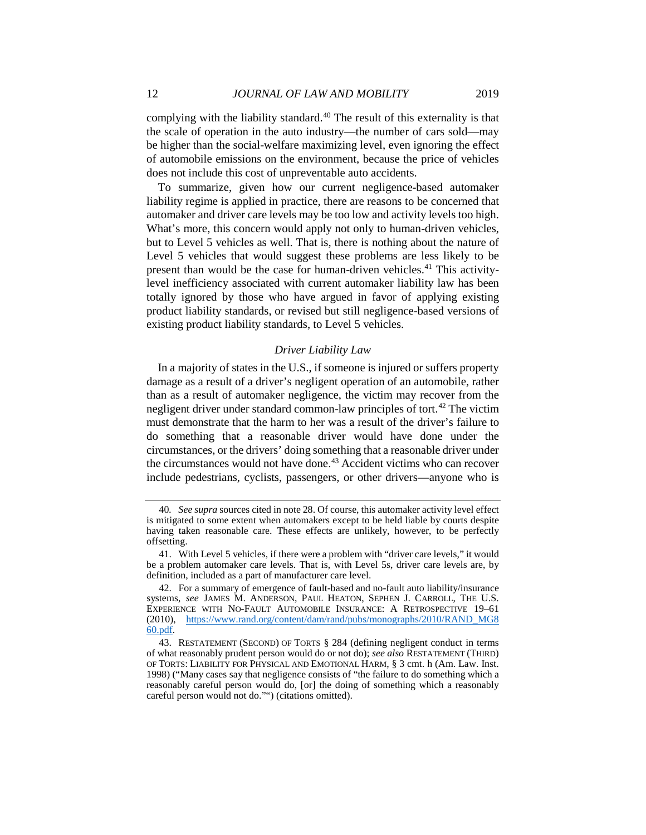complying with the liability standard.<sup>40</sup> The result of this externality is that the scale of operation in the auto industry—the number of cars sold—may be higher than the social-welfare maximizing level, even ignoring the effect of automobile emissions on the environment, because the price of vehicles does not include this cost of unpreventable auto accidents.

To summarize, given how our current negligence-based automaker liability regime is applied in practice, there are reasons to be concerned that automaker and driver care levels may be too low and activity levels too high. What's more, this concern would apply not only to human-driven vehicles, but to Level 5 vehicles as well. That is, there is nothing about the nature of Level 5 vehicles that would suggest these problems are less likely to be present than would be the case for human-driven vehicles.<sup>[41](#page-12-1)</sup> This activitylevel inefficiency associated with current automaker liability law has been totally ignored by those who have argued in favor of applying existing product liability standards, or revised but still negligence-based versions of existing product liability standards, to Level 5 vehicles.

#### *Driver Liability Law*

In a majority of states in the U.S., if someone is injured or suffers property damage as a result of a driver's negligent operation of an automobile, rather than as a result of automaker negligence, the victim may recover from the negligent driver under standard common-law principles of tort.<sup>[42](#page-12-2)</sup> The victim must demonstrate that the harm to her was a result of the driver's failure to do something that a reasonable driver would have done under the circumstances, or the drivers' doing something that a reasonable driver under the circumstances would not have done.<sup>[43](#page-12-3)</sup> Accident victims who can recover include pedestrians, cyclists, passengers, or other drivers—anyone who is

<span id="page-12-0"></span><sup>40</sup>*. See supra* sources cited in note 28. Of course, this automaker activity level effect is mitigated to some extent when automakers except to be held liable by courts despite having taken reasonable care. These effects are unlikely, however, to be perfectly offsetting.

<span id="page-12-1"></span><sup>41.</sup> With Level 5 vehicles, if there were a problem with "driver care levels," it would be a problem automaker care levels. That is, with Level 5s, driver care levels are, by definition, included as a part of manufacturer care level.

<span id="page-12-2"></span><sup>42.</sup> For a summary of emergence of fault-based and no-fault auto liability/insurance systems, *see* JAMES M. ANDERSON, PAUL HEATON, SEPHEN J. CARROLL, THE U.S. EXPERIENCE WITH NO-FAULT AUTOMOBILE INSURANCE: A RETROSPECTIVE 19–61 (2010), [https://www.rand.org/content/dam/rand/pubs/monographs/2010/RAND\\_MG8](https://www.rand.org/content/dam/rand/pubs/monographs/2010/RAND_MG860.pdf)  [60.pdf.](https://www.rand.org/content/dam/rand/pubs/monographs/2010/RAND_MG860.pdf)

<span id="page-12-3"></span><sup>43.</sup> RESTATEMENT (SECOND) OF TORTS § 284 (defining negligent conduct in terms of what reasonably prudent person would do or not do); *see also* RESTATEMENT (THIRD) OF TORTS: LIABILITY FOR PHYSICAL AND EMOTIONAL HARM, § 3 cmt. h (Am. Law. Inst. 1998) ("Many cases say that negligence consists of "the failure to do something which a reasonably careful person would do, [or] the doing of something which a reasonably careful person would not do."") (citations omitted).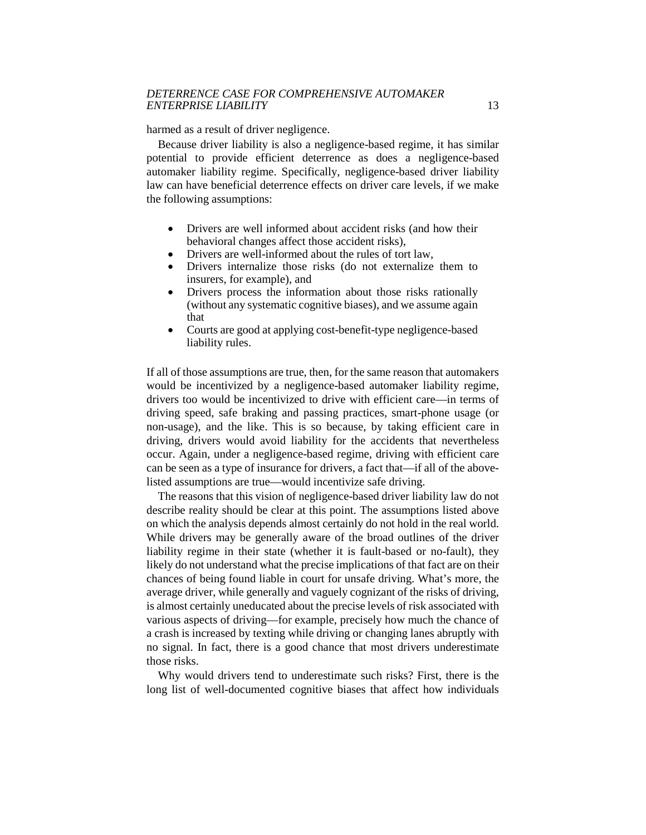harmed as a result of driver negligence.

Because driver liability is also a negligence-based regime, it has similar potential to provide efficient deterrence as does a negligence-based automaker liability regime. Specifically, negligence-based driver liability law can have beneficial deterrence effects on driver care levels, if we make the following assumptions:

- Drivers are well informed about accident risks (and how their behavioral changes affect those accident risks),
- Drivers are well-informed about the rules of tort law,<br>• Drivers internalize those risks (do not externalize
- Drivers internalize those risks (do not externalize them to insurers, for example), and
- Drivers process the information about those risks rationally (without any systematic cognitive biases), and we assume again that
- Courts are good at applying cost-benefit-type negligence-based liability rules.

If all of those assumptions are true, then, for the same reason that automakers would be incentivized by a negligence-based automaker liability regime, drivers too would be incentivized to drive with efficient care—in terms of driving speed, safe braking and passing practices, smart-phone usage (or non-usage), and the like. This is so because, by taking efficient care in driving, drivers would avoid liability for the accidents that nevertheless occur. Again, under a negligence-based regime, driving with efficient care can be seen as a type of insurance for drivers, a fact that—if all of the abovelisted assumptions are true—would incentivize safe driving.

The reasons that this vision of negligence-based driver liability law do not describe reality should be clear at this point. The assumptions listed above on which the analysis depends almost certainly do not hold in the real world. While drivers may be generally aware of the broad outlines of the driver liability regime in their state (whether it is fault-based or no-fault), they likely do not understand what the precise implications of that fact are on their chances of being found liable in court for unsafe driving. What's more, the average driver, while generally and vaguely cognizant of the risks of driving, is almost certainly uneducated about the precise levels of risk associated with various aspects of driving—for example, precisely how much the chance of a crash is increased by texting while driving or changing lanes abruptly with no signal. In fact, there is a good chance that most drivers underestimate those risks.

Why would drivers tend to underestimate such risks? First, there is the long list of well-documented cognitive biases that affect how individuals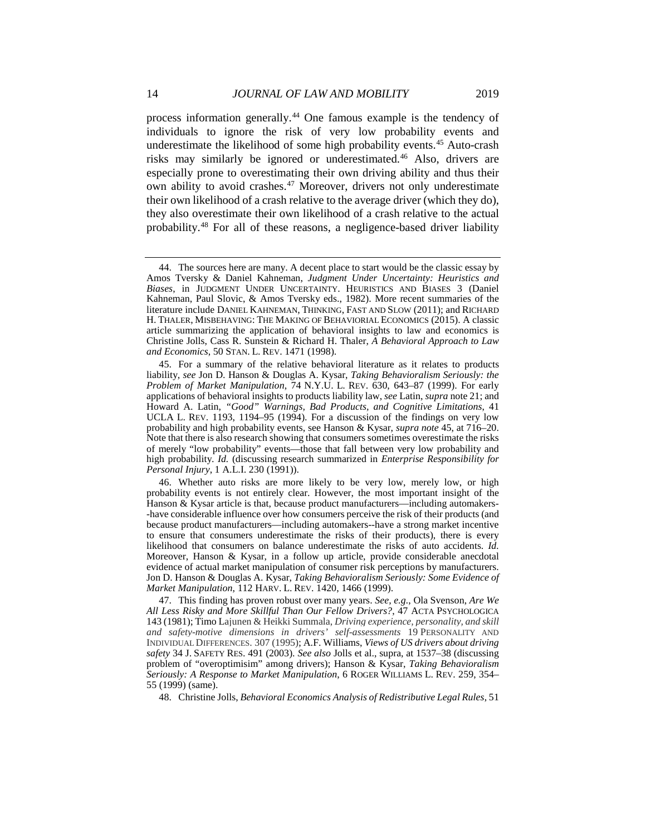process information generally.[44](#page-14-0) One famous example is the tendency of individuals to ignore the risk of very low probability events and underestimate the likelihood of some high probability events.<sup>[45](#page-14-1)</sup> Auto-crash risks may similarly be ignored or underestimated.<sup>[46](#page-14-2)</sup> Also, drivers are especially prone to overestimating their own driving ability and thus their own ability to avoid crashes.<sup>[47](#page-14-3)</sup> Moreover, drivers not only underestimate their own likelihood of a crash relative to the average driver (which they do), they also overestimate their own likelihood of a crash relative to the actual probability.[48](#page-14-4) For all of these reasons, a negligence-based driver liability

<span id="page-14-4"></span>48. Christine Jolls, *Behavioral Economics Analysis of Redistributive Legal Rules*, 51

<span id="page-14-0"></span><sup>44.</sup> The sources here are many. A decent place to start would be the classic essay by Amos Tversky & Daniel Kahneman, *Judgment Under Uncertainty: Heuristics and Biases*, in JUDGMENT UNDER UNCERTAINTY. HEURISTICS AND BIASES 3 (Daniel Kahneman, Paul Slovic, & Amos Tversky eds., 1982). More recent summaries of the literature include DANIEL KAHNEMAN, THINKING, FAST AND SLOW (2011); and RICHARD H. THALER, MISBEHAVING: THE MAKING OF BEHAVIORIAL ECONOMICS (2015). A classic article summarizing the application of behavioral insights to law and economics is Christine Jolls, Cass R. Sunstein & Richard H. Thaler, *A Behavioral Approach to Law and Economics*, 50 STAN. L. REV. 1471 (1998).

<span id="page-14-1"></span><sup>45.</sup> For a summary of the relative behavioral literature as it relates to products liability, *see* Jon D. Hanson & Douglas A. Kysar, *Taking Behavioralism Seriously: the Problem of Market Manipulation*, 74 N.Y.U. L. REV. 630, 643–87 (1999). For early applications of behavioral insights to products liability law, *see* Latin, *supra* note 21; and Howard A. Latin, *"Good" Warnings, Bad Products, and Cognitive Limitations*, 41 UCLA L. REV. 1193, 1194–95 (1994). For a discussion of the findings on very low probability and high probability events, see Hanson & Kysar, *supra note* 45, at 716–20. Note that there is also research showing that consumers sometimes overestimate the risks of merely "low probability" events—those that fall between very low probability and high probability. *Id.* (discussing research summarized in *Enterprise Responsibility for Personal Injury*, 1 A.L.I. 230 (1991)).

<span id="page-14-2"></span><sup>46.</sup> Whether auto risks are more likely to be very low, merely low, or high probability events is not entirely clear. However, the most important insight of the Hanson & Kysar article is that, because product manufacturers—including automakers- -have considerable influence over how consumers perceive the risk of their products (and because product manufacturers—including automakers--have a strong market incentive to ensure that consumers underestimate the risks of their products), there is every likelihood that consumers on balance underestimate the risks of auto accidents. *Id.* Moreover, Hanson & Kysar, in a follow up article, provide considerable anecdotal evidence of actual market manipulation of consumer risk perceptions by manufacturers. Jon D. Hanson & Douglas A. Kysar, *Taking Behavioralism Seriously: Some Evidence of Market Manipulation*, 112 HARV. L. REV. 1420, 1466 (1999).

<span id="page-14-3"></span><sup>47.</sup> This finding has proven robust over many years. *See, e.g.*, Ola Svenson, *Are We All Less Risky and More Skillful Than Our Fellow Drivers?*, 47 ACTA PSYCHOLOGICA 143 (1981); Timo Lajunen & Heikki Summala, *Driving experience, personality, and skill and safety-motive dimensions in drivers' self-assessments* 19 PERSONALITY AND INDIVIDUAL DIFFERENCES. 307 (1995); A.F. Williams, *Views of US drivers about driving safety* 34 J. SAFETY RES. 491 (2003). *See also* Jolls et al., supra, at 1537–38 (discussing problem of "overoptimisim" among drivers); Hanson & Kysar, *Taking Behavioralism Seriously: A Response to Market Manipulation*, 6 ROGER WILLIAMS L. REV. 259, 354– 55 (1999) (same).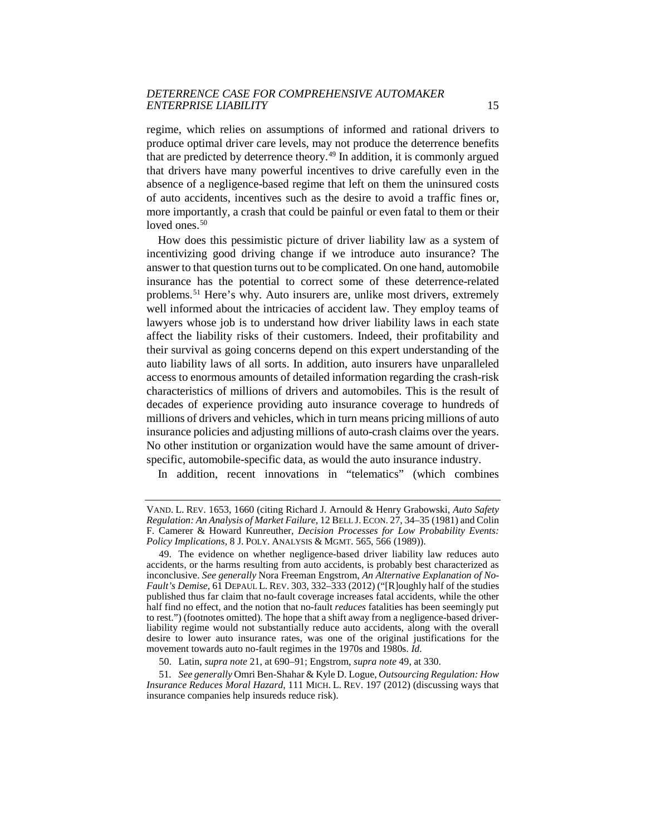regime, which relies on assumptions of informed and rational drivers to produce optimal driver care levels, may not produce the deterrence benefits that are predicted by deterrence theory.[49](#page-15-0) In addition, it is commonly argued that drivers have many powerful incentives to drive carefully even in the absence of a negligence-based regime that left on them the uninsured costs of auto accidents, incentives such as the desire to avoid a traffic fines or, more importantly, a crash that could be painful or even fatal to them or their loved ones. $50$ 

How does this pessimistic picture of driver liability law as a system of incentivizing good driving change if we introduce auto insurance? The answer to that question turns out to be complicated. On one hand, automobile insurance has the potential to correct some of these deterrence-related problems.[51](#page-15-2) Here's why. Auto insurers are, unlike most drivers, extremely well informed about the intricacies of accident law. They employ teams of lawyers whose job is to understand how driver liability laws in each state affect the liability risks of their customers. Indeed, their profitability and their survival as going concerns depend on this expert understanding of the auto liability laws of all sorts. In addition, auto insurers have unparalleled access to enormous amounts of detailed information regarding the crash-risk characteristics of millions of drivers and automobiles. This is the result of decades of experience providing auto insurance coverage to hundreds of millions of drivers and vehicles, which in turn means pricing millions of auto insurance policies and adjusting millions of auto-crash claims over the years. No other institution or organization would have the same amount of driverspecific, automobile-specific data, as would the auto insurance industry.

In addition, recent innovations in "telematics" (which combines

VAND. L. REV. 1653, 1660 (citing Richard J. Arnould & Henry Grabowski, *Auto Safety Regulation: An Analysis of Market Failure*, 12 BELL J. ECON. 27, 34–35 (1981) and Colin F. Camerer & Howard Kunreuther, *Decision Processes for Low Probability Events: Policy Implications*, 8 J. POLY. ANALYSIS & MGMT. 565, 566 (1989)).

<span id="page-15-0"></span><sup>49.</sup> The evidence on whether negligence-based driver liability law reduces auto accidents, or the harms resulting from auto accidents, is probably best characterized as inconclusive. *See generally* Nora Freeman Engstrom, *An Alternative Explanation of No-Fault's Demise*, 61 DEPAUL L. REV. 303, 332–333 (2012) ("[R]oughly half of the studies published thus far claim that no-fault coverage increases fatal accidents, while the other half find no effect, and the notion that no-fault *reduces* fatalities has been seemingly put to rest.") (footnotes omitted). The hope that a shift away from a negligence-based driverliability regime would not substantially reduce auto accidents, along with the overall desire to lower auto insurance rates, was one of the original justifications for the movement towards auto no-fault regimes in the 1970s and 1980s. *Id.*

<sup>50.</sup> Latin, *supra note* 21, at 690–91; Engstrom, *supra note* 49, at 330.

<span id="page-15-2"></span><span id="page-15-1"></span><sup>51</sup>*. See generally* Omri Ben-Shahar & Kyle D. Logue, *Outsourcing Regulation: How Insurance Reduces Moral Hazard*, 111 MICH. L. REV. 197 (2012) (discussing ways that insurance companies help insureds reduce risk).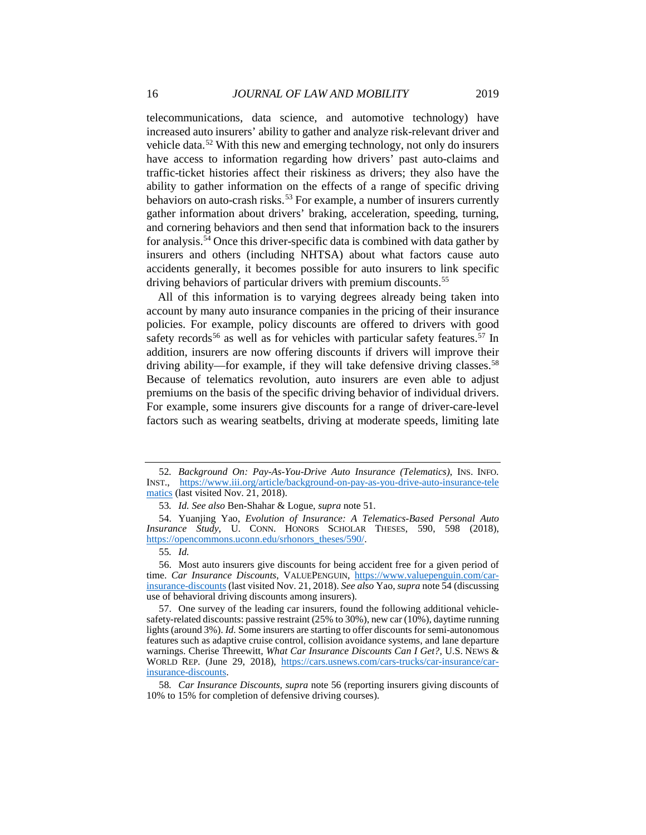telecommunications, data science, and automotive technology) have increased auto insurers' ability to gather and analyze risk-relevant driver and vehicle data.[52](#page-16-0) With this new and emerging technology, not only do insurers have access to information regarding how drivers' past auto-claims and traffic-ticket histories affect their riskiness as drivers; they also have the ability to gather information on the effects of a range of specific driving behaviors on auto-crash risks.<sup>[53](#page-16-1)</sup> For example, a number of insurers currently gather information about drivers' braking, acceleration, speeding, turning, and cornering behaviors and then send that information back to the insurers for analysis.[54](#page-16-2) Once this driver-specific data is combined with data gather by insurers and others (including NHTSA) about what factors cause auto accidents generally, it becomes possible for auto insurers to link specific driving behaviors of particular drivers with premium discounts.<sup>[55](#page-16-3)</sup>

All of this information is to varying degrees already being taken into account by many auto insurance companies in the pricing of their insurance policies. For example, policy discounts are offered to drivers with good safety records<sup>[56](#page-16-4)</sup> as well as for vehicles with particular safety features.<sup>[57](#page-16-5)</sup> In addition, insurers are now offering discounts if drivers will improve their driving ability—for example, if they will take defensive driving classes.<sup>[58](#page-16-6)</sup> Because of telematics revolution, auto insurers are even able to adjust premiums on the basis of the specific driving behavior of individual drivers. For example, some insurers give discounts for a range of driver-care-level factors such as wearing seatbelts, driving at moderate speeds, limiting late

<span id="page-16-0"></span><sup>52</sup>*. Background On: Pay-As-You-Drive Auto Insurance (Telematics)*, INS. INFO. INST., [https://www.iii.org/article/background-on-pay-as-you-drive-auto-insurance-tele](https://www.iii.org/article/background-on-pay-as-you-drive-auto-insurance-telematics)  [matics](https://www.iii.org/article/background-on-pay-as-you-drive-auto-insurance-telematics) (last visited Nov. 21, 2018).

<sup>53</sup>*. Id. See also* Ben-Shahar & Logue, *supra* note 51.

<span id="page-16-2"></span><span id="page-16-1"></span><sup>54.</sup> Yuanjing Yao, *Evolution of Insurance: A Telematics-Based Personal Auto Insurance Study*, U. CONN. HONORS SCHOLAR THESES, 590, 598 (2018), [https://opencommons.uconn.edu/srhonors\\_theses/590/.](https://opencommons.uconn.edu/srhonors_theses/590/)

<sup>55</sup>*. Id.*

<span id="page-16-4"></span><span id="page-16-3"></span><sup>56.</sup> Most auto insurers give discounts for being accident free for a given period of time. *Car Insurance Discounts*, VALUEPENGUIN, [https://www.valuepenguin.com/car](https://www.valuepenguin.com/car-insurance-discounts)[insurance-discounts](https://www.valuepenguin.com/car-insurance-discounts) (last visited Nov. 21, 2018). *See also* Yao, *supra* note 54 (discussing use of behavioral driving discounts among insurers).

<span id="page-16-5"></span><sup>57.</sup> One survey of the leading car insurers, found the following additional vehiclesafety-related discounts: passive restraint (25% to 30%), new car (10%), daytime running lights (around 3%). *Id.* Some insurers are starting to offer discounts for semi-autonomous features such as adaptive cruise control, collision avoidance systems, and lane departure warnings. Cherise Threewitt, *What Car Insurance Discounts Can I Get?*, U.S. NEWS & WORLD REP. (June 29, 2018), [https://cars.usnews.com/cars-trucks/car-insurance/car](https://cars.usnews.com/cars-trucks/car-insurance/car-insurance-discounts)[insurance-discounts.](https://cars.usnews.com/cars-trucks/car-insurance/car-insurance-discounts)

<span id="page-16-6"></span><sup>58</sup>*. Car Insurance Discounts*, *supra* note 56 (reporting insurers giving discounts of 10% to 15% for completion of defensive driving courses).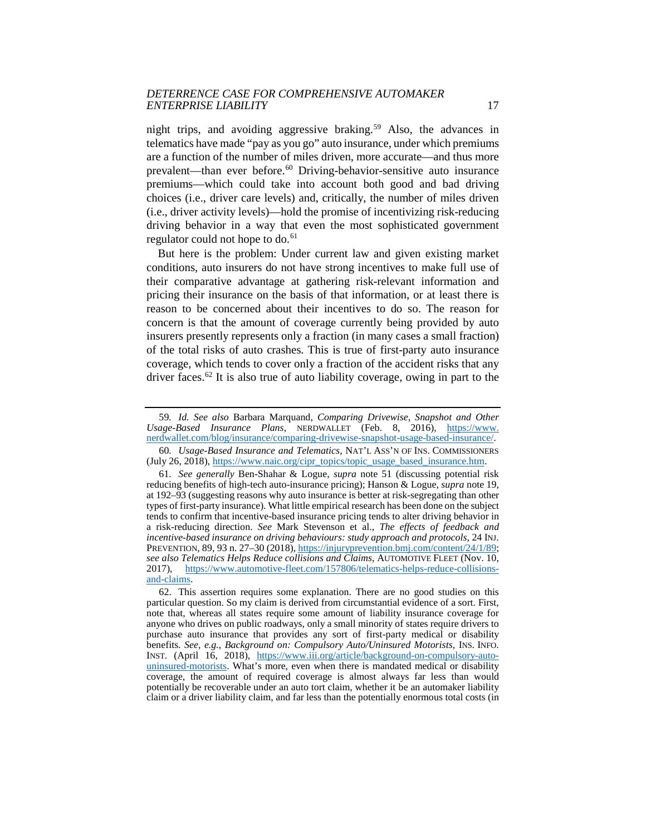night trips, and avoiding aggressive braking.<sup>[59](#page-17-0)</sup> Also, the advances in telematics have made "pay as you go" auto insurance, under which premiums are a function of the number of miles driven, more accurate—and thus more prevalent—than ever before.[60](#page-17-1) Driving-behavior-sensitive auto insurance premiums—which could take into account both good and bad driving choices (i.e., driver care levels) and, critically, the number of miles driven (i.e., driver activity levels)—hold the promise of incentivizing risk-reducing driving behavior in a way that even the most sophisticated government regulator could not hope to do.<sup>[61](#page-17-2)</sup>

But here is the problem: Under current law and given existing market conditions, auto insurers do not have strong incentives to make full use of their comparative advantage at gathering risk-relevant information and pricing their insurance on the basis of that information, or at least there is reason to be concerned about their incentives to do so. The reason for concern is that the amount of coverage currently being provided by auto insurers presently represents only a fraction (in many cases a small fraction) of the total risks of auto crashes. This is true of first-party auto insurance coverage, which tends to cover only a fraction of the accident risks that any driver faces.<sup>62</sup> It is also true of auto liability coverage, owing in part to the

<span id="page-17-0"></span><sup>59</sup>*. Id. See also* Barbara Marquand, *Comparing Drivewise, Snapshot and Other Usage-Based Insurance Plans*, NERDWALLET (Feb. 8, 2016), [https://www.](https://www.nerdwallet.com/blog/insurance/comparing-drivewise-snapshot-usage-based-insurance/)  [nerdwallet.com/blog/insurance/comparing-drivewise-snapshot-usage-based-insurance/.](https://www.nerdwallet.com/blog/insurance/comparing-drivewise-snapshot-usage-based-insurance/)

<span id="page-17-1"></span><sup>60</sup>*. Usage-Based Insurance and Telematics*, NAT'L ASS'N OF INS. COMMISSIONERS (July 26, 2018)[, https://www.naic.org/cipr\\_topics/topic\\_usage\\_based\\_insurance.htm.](https://www.naic.org/cipr_topics/topic_usage_based_insurance.htm)

<span id="page-17-2"></span><sup>61</sup>*. See generally* Ben-Shahar & Logue, *supra* note 51 (discussing potential risk reducing benefits of high-tech auto-insurance pricing); Hanson & Logue, *supra* note 19, at 192–93 (suggesting reasons why auto insurance is better at risk-segregating than other types of first-party insurance). What little empirical research has been done on the subject tends to confirm that incentive-based insurance pricing tends to alter driving behavior in a risk-reducing direction. *See* Mark Stevenson et al., *The effects of feedback and incentive-based insurance on driving behaviours: study approach and protocols*, 24 INJ. PREVENTION, 89, 93 n. 27–30 (2018)[, https://injuryprevention.bmj.com/content/24/1/89;](https://injuryprevention.bmj.com/content/24/1/89) *see also Telematics Helps Reduce collisions and Claims*, AUTOMOTIVE FLEET (Nov. 10, 2017), [https://www.automotive-fleet.com/157806/telematics-helps-reduce-collisions](https://www.automotive-fleet.com/157806/telematics-helps-reduce-collisions-and-claims)[and-claims.](https://www.automotive-fleet.com/157806/telematics-helps-reduce-collisions-and-claims)

<span id="page-17-3"></span><sup>62.</sup> This assertion requires some explanation. There are no good studies on this particular question. So my claim is derived from circumstantial evidence of a sort. First, note that, whereas all states require some amount of liability insurance coverage for anyone who drives on public roadways, only a small minority of states require drivers to purchase auto insurance that provides any sort of first-party medical or disability benefits. *See, e.g.*, *Background on: Compulsory Auto/Uninsured Motorists*, INS. INFO. INST. (April 16, 2018), [https://www.iii.org/article/background-on-compulsory-auto](https://www.iii.org/article/background-on-compulsory-auto-uninsured-motorists)[uninsured-motorists.](https://www.iii.org/article/background-on-compulsory-auto-uninsured-motorists) What's more, even when there is mandated medical or disability coverage, the amount of required coverage is almost always far less than would potentially be recoverable under an auto tort claim, whether it be an automaker liability claim or a driver liability claim, and far less than the potentially enormous total costs (in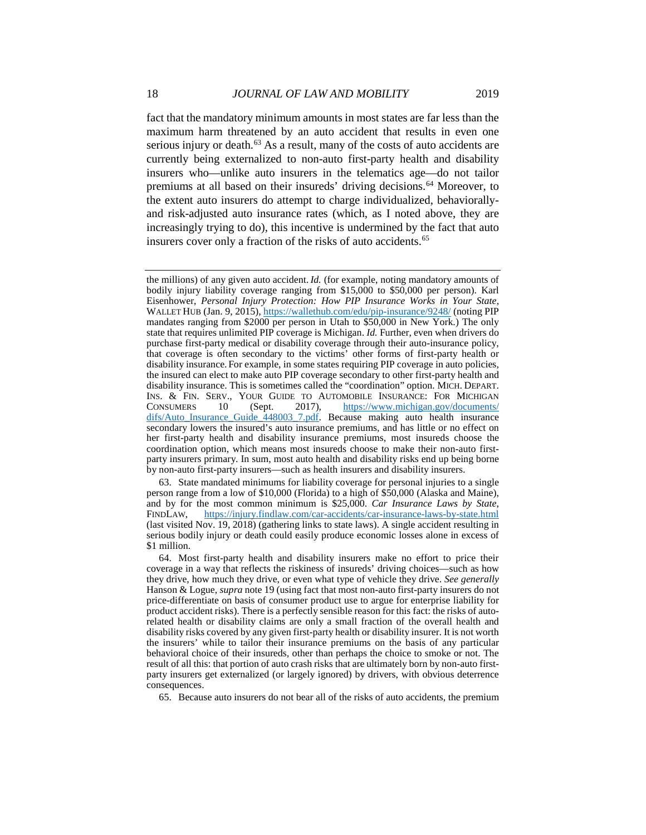fact that the mandatory minimum amounts in most states are far less than the maximum harm threatened by an auto accident that results in even one serious injury or death.<sup>[63](#page-18-0)</sup> As a result, many of the costs of auto accidents are currently being externalized to non-auto first-party health and disability insurers who—unlike auto insurers in the telematics age—do not tailor premiums at all based on their insureds' driving decisions.<sup>[64](#page-18-1)</sup> Moreover, to the extent auto insurers do attempt to charge individualized, behaviorallyand risk-adjusted auto insurance rates (which, as I noted above, they are increasingly trying to do), this incentive is undermined by the fact that auto insurers cover only a fraction of the risks of auto accidents.<sup>[65](#page-18-2)</sup>

<span id="page-18-2"></span>65. Because auto insurers do not bear all of the risks of auto accidents, the premium

the millions) of any given auto accident. *Id.* (for example, noting mandatory amounts of bodily injury liability coverage ranging from \$15,000 to \$50,000 per person). Karl Eisenhower, *Personal Injury Protection: How PIP Insurance Works in Your State*, WALLET HUB (Jan. 9, 2015)[, https://wallethub.com/edu/pip-insurance/9248/](https://wallethub.com/edu/pip-insurance/9248/) (noting PIP mandates ranging from \$2000 per person in Utah to \$50,000 in New York.) The only state that requires unlimited PIP coverage is Michigan. *Id.* Further, even when drivers do purchase first-party medical or disability coverage through their auto-insurance policy, that coverage is often secondary to the victims' other forms of first-party health or disability insurance. For example, in some states requiring PIP coverage in auto policies, the insured can elect to make auto PIP coverage secondary to other first-party health and disability insurance. This is sometimes called the "coordination" option. MICH. DEPART. INS. & FIN. SERV., YOUR GUIDE TO AUTOMOBILE INSURANCE: FOR MICHIGAN CONSUMERS 10 (Sept. 2017), https://www.michigan.gov/documents/ CONSUMERS 10 (Sept. 2017), [https://www.michigan.gov/documents/](https://www.michigan.gov/documents/difs/Auto_Insurance_Guide_448003_7.pdf)  [difs/Auto\\_Insurance\\_Guide\\_448003\\_7.pdf.](https://www.michigan.gov/documents/difs/Auto_Insurance_Guide_448003_7.pdf) Because making auto health insurance secondary lowers the insured's auto insurance premiums, and has little or no effect on her first-party health and disability insurance premiums, most insureds choose the coordination option, which means most insureds choose to make their non-auto firstparty insurers primary. In sum, most auto health and disability risks end up being borne by non-auto first-party insurers—such as health insurers and disability insurers.

<span id="page-18-0"></span><sup>63.</sup> State mandated minimums for liability coverage for personal injuries to a single person range from a low of \$10,000 (Florida) to a high of \$50,000 (Alaska and Maine), and by for the most common minimum is \$25,000. *Car Insurance Laws by State*, FINDLAW, <https://injury.findlaw.com/car-accidents/car-insurance-laws-by-state.html> (last visited Nov. 19, 2018) (gathering links to state laws). A single accident resulting in serious bodily injury or death could easily produce economic losses alone in excess of \$1 million.

<span id="page-18-1"></span><sup>64.</sup> Most first-party health and disability insurers make no effort to price their coverage in a way that reflects the riskiness of insureds' driving choices—such as how they drive, how much they drive, or even what type of vehicle they drive. *See generally* Hanson & Logue, *supra* note 19 (using fact that most non-auto first-party insurers do not price-differentiate on basis of consumer product use to argue for enterprise liability for product accident risks). There is a perfectly sensible reason for this fact: the risks of autorelated health or disability claims are only a small fraction of the overall health and disability risks covered by any given first-party health or disability insurer. It is not worth the insurers' while to tailor their insurance premiums on the basis of any particular behavioral choice of their insureds, other than perhaps the choice to smoke or not. The result of all this: that portion of auto crash risks that are ultimately born by non-auto firstparty insurers get externalized (or largely ignored) by drivers, with obvious deterrence consequences.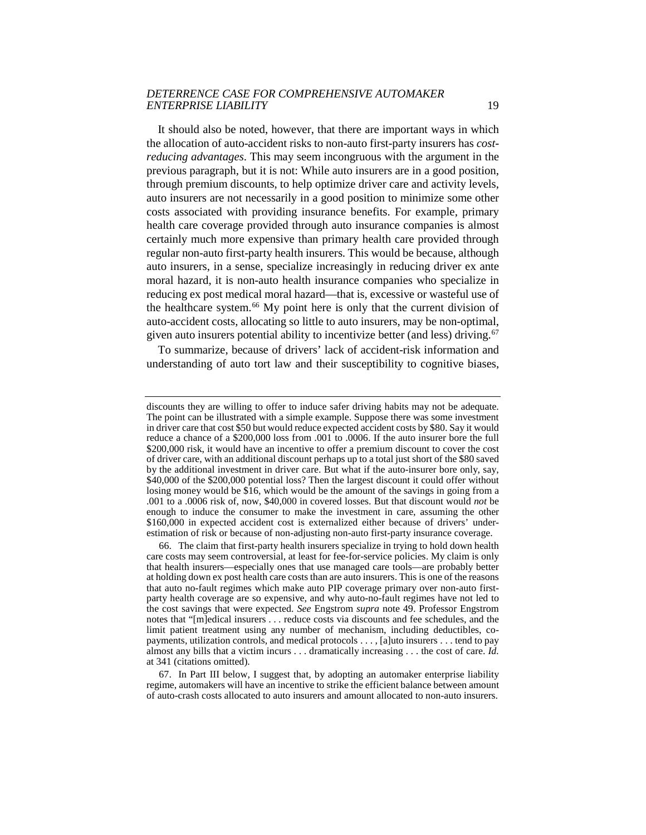It should also be noted, however, that there are important ways in which the allocation of auto-accident risks to non-auto first-party insurers has *costreducing advantages*. This may seem incongruous with the argument in the previous paragraph, but it is not: While auto insurers are in a good position, through premium discounts, to help optimize driver care and activity levels, auto insurers are not necessarily in a good position to minimize some other costs associated with providing insurance benefits. For example, primary health care coverage provided through auto insurance companies is almost certainly much more expensive than primary health care provided through regular non-auto first-party health insurers. This would be because, although auto insurers, in a sense, specialize increasingly in reducing driver ex ante moral hazard, it is non-auto health insurance companies who specialize in reducing ex post medical moral hazard—that is, excessive or wasteful use of the healthcare system.<sup>[66](#page-19-0)</sup> My point here is only that the current division of auto-accident costs, allocating so little to auto insurers, may be non-optimal, given auto insurers potential ability to incentivize better (and less) driving.<sup>[67](#page-19-1)</sup>

To summarize, because of drivers' lack of accident-risk information and understanding of auto tort law and their susceptibility to cognitive biases,

discounts they are willing to offer to induce safer driving habits may not be adequate. The point can be illustrated with a simple example. Suppose there was some investment in driver care that cost \$50 but would reduce expected accident costs by \$80. Say it would reduce a chance of a \$200,000 loss from .001 to .0006. If the auto insurer bore the full \$200,000 risk, it would have an incentive to offer a premium discount to cover the cost of driver care, with an additional discount perhaps up to a total just short of the \$80 saved by the additional investment in driver care. But what if the auto-insurer bore only, say, \$40,000 of the \$200,000 potential loss? Then the largest discount it could offer without losing money would be \$16, which would be the amount of the savings in going from a .001 to a .0006 risk of, now, \$40,000 in covered losses. But that discount would *not* be enough to induce the consumer to make the investment in care, assuming the other \$160,000 in expected accident cost is externalized either because of drivers' underestimation of risk or because of non-adjusting non-auto first-party insurance coverage.

<span id="page-19-0"></span><sup>66.</sup> The claim that first-party health insurers specialize in trying to hold down health care costs may seem controversial, at least for fee-for-service policies. My claim is only that health insurers—especially ones that use managed care tools—are probably better at holding down ex post health care costs than are auto insurers. This is one of the reasons that auto no-fault regimes which make auto PIP coverage primary over non-auto firstparty health coverage are so expensive, and why auto-no-fault regimes have not led to the cost savings that were expected. *See* Engstrom *supra* note 49. Professor Engstrom notes that "[m]edical insurers . . . reduce costs via discounts and fee schedules, and the limit patient treatment using any number of mechanism, including deductibles, copayments, utilization controls, and medical protocols . . . , [a]uto insurers . . . tend to pay almost any bills that a victim incurs . . . dramatically increasing . . . the cost of care. *Id.* at 341 (citations omitted).

<span id="page-19-1"></span><sup>67.</sup> In Part III below, I suggest that, by adopting an automaker enterprise liability regime, automakers will have an incentive to strike the efficient balance between amount of auto-crash costs allocated to auto insurers and amount allocated to non-auto insurers.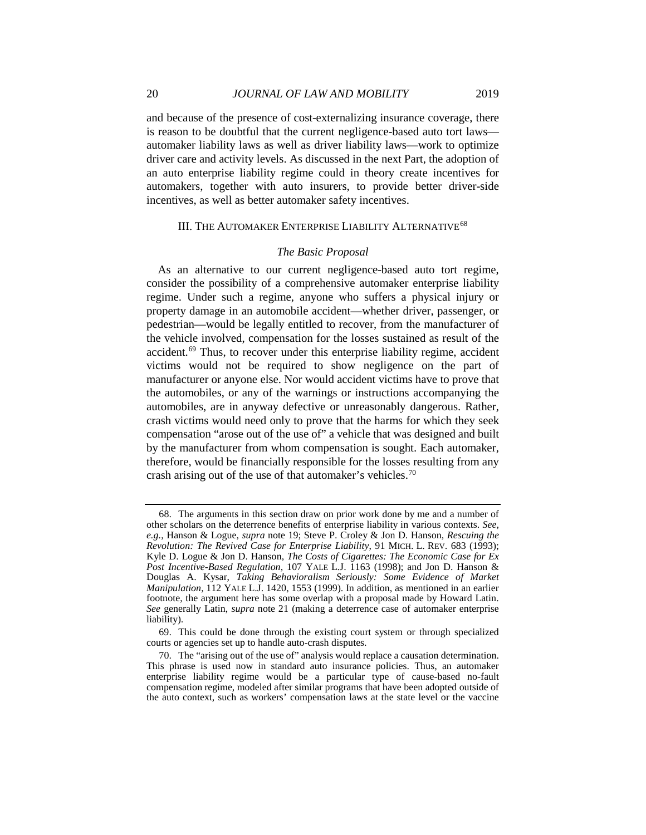and because of the presence of cost-externalizing insurance coverage, there is reason to be doubtful that the current negligence-based auto tort laws automaker liability laws as well as driver liability laws—work to optimize driver care and activity levels. As discussed in the next Part, the adoption of an auto enterprise liability regime could in theory create incentives for automakers, together with auto insurers, to provide better driver-side incentives, as well as better automaker safety incentives.

#### III. THE AUTOMAKER ENTERPRISE LIABILITY ALTERNATIVE<sup>[68](#page-20-0)</sup>

#### *The Basic Proposal*

As an alternative to our current negligence-based auto tort regime, consider the possibility of a comprehensive automaker enterprise liability regime. Under such a regime, anyone who suffers a physical injury or property damage in an automobile accident—whether driver, passenger, or pedestrian—would be legally entitled to recover, from the manufacturer of the vehicle involved, compensation for the losses sustained as result of the accident.[69](#page-20-1) Thus, to recover under this enterprise liability regime, accident victims would not be required to show negligence on the part of manufacturer or anyone else. Nor would accident victims have to prove that the automobiles, or any of the warnings or instructions accompanying the automobiles, are in anyway defective or unreasonably dangerous. Rather, crash victims would need only to prove that the harms for which they seek compensation "arose out of the use of" a vehicle that was designed and built by the manufacturer from whom compensation is sought. Each automaker, therefore, would be financially responsible for the losses resulting from any crash arising out of the use of that automaker's vehicles.<sup>70</sup>

<span id="page-20-0"></span><sup>68.</sup> The arguments in this section draw on prior work done by me and a number of other scholars on the deterrence benefits of enterprise liability in various contexts. *See, e.g.*, Hanson & Logue, *supra* note 19; Steve P. Croley & Jon D. Hanson, *Rescuing the Revolution: The Revived Case for Enterprise Liability*, 91 MICH. L. REV. 683 (1993); Kyle D. Logue & Jon D. Hanson, *The Costs of Cigarettes: The Economic Case for Ex Post Incentive-Based Regulation,* 107 YALE L.J. 1163 (1998); and Jon D. Hanson & Douglas A. Kysar, *Taking Behavioralism Seriously: Some Evidence of Market Manipulation*, 112 YALE L.J. 1420, 1553 (1999). In addition, as mentioned in an earlier footnote, the argument here has some overlap with a proposal made by Howard Latin. *See* generally Latin, *supra* note 21 (making a deterrence case of automaker enterprise liability).

<span id="page-20-1"></span><sup>69.</sup> This could be done through the existing court system or through specialized courts or agencies set up to handle auto-crash disputes.

<span id="page-20-2"></span><sup>70.</sup> The "arising out of the use of" analysis would replace a causation determination. This phrase is used now in standard auto insurance policies. Thus, an automaker enterprise liability regime would be a particular type of cause-based no-fault compensation regime, modeled after similar programs that have been adopted outside of the auto context, such as workers' compensation laws at the state level or the vaccine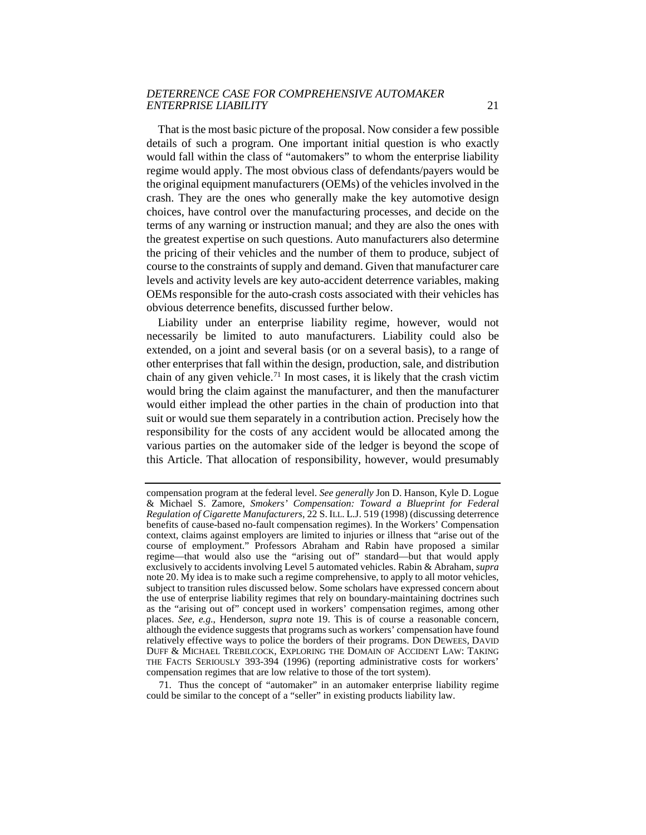That is the most basic picture of the proposal. Now consider a few possible details of such a program. One important initial question is who exactly would fall within the class of "automakers" to whom the enterprise liability regime would apply. The most obvious class of defendants/payers would be the original equipment manufacturers (OEMs) of the vehicles involved in the crash. They are the ones who generally make the key automotive design choices, have control over the manufacturing processes, and decide on the terms of any warning or instruction manual; and they are also the ones with the greatest expertise on such questions. Auto manufacturers also determine the pricing of their vehicles and the number of them to produce, subject of course to the constraints of supply and demand. Given that manufacturer care levels and activity levels are key auto-accident deterrence variables, making OEMs responsible for the auto-crash costs associated with their vehicles has obvious deterrence benefits, discussed further below.

Liability under an enterprise liability regime, however, would not necessarily be limited to auto manufacturers. Liability could also be extended, on a joint and several basis (or on a several basis), to a range of other enterprises that fall within the design, production, sale, and distribution chain of any given vehicle.<sup>71</sup> In most cases, it is likely that the crash victim would bring the claim against the manufacturer, and then the manufacturer would either implead the other parties in the chain of production into that suit or would sue them separately in a contribution action. Precisely how the responsibility for the costs of any accident would be allocated among the various parties on the automaker side of the ledger is beyond the scope of this Article. That allocation of responsibility, however, would presumably

<span id="page-21-0"></span>71. Thus the concept of "automaker" in an automaker enterprise liability regime could be similar to the concept of a "seller" in existing products liability law.

compensation program at the federal level. *See generally* Jon D. Hanson, Kyle D. Logue & Michael S. Zamore, *Smokers' Compensation: Toward a Blueprint for Federal Regulation of Cigarette Manufacturers*, 22 S. ILL. L.J. 519 (1998) (discussing deterrence benefits of cause-based no-fault compensation regimes). In the Workers' Compensation context, claims against employers are limited to injuries or illness that "arise out of the course of employment." Professors Abraham and Rabin have proposed a similar regime—that would also use the "arising out of" standard—but that would apply exclusively to accidents involving Level 5 automated vehicles. Rabin & Abraham, *supra* note 20. My idea is to make such a regime comprehensive, to apply to all motor vehicles, subject to transition rules discussed below. Some scholars have expressed concern about the use of enterprise liability regimes that rely on boundary-maintaining doctrines such as the "arising out of" concept used in workers' compensation regimes, among other places. *See, e.g*., Henderson, *supra* note 19. This is of course a reasonable concern, although the evidence suggests that programs such as workers' compensation have found relatively effective ways to police the borders of their programs. DON DEWEES, DAVID DUFF & MICHAEL TREBILCOCK, EXPLORING THE DOMAIN OF ACCIDENT LAW: TAKING THE FACTS SERIOUSLY 393-394 (1996) (reporting administrative costs for workers' compensation regimes that are low relative to those of the tort system).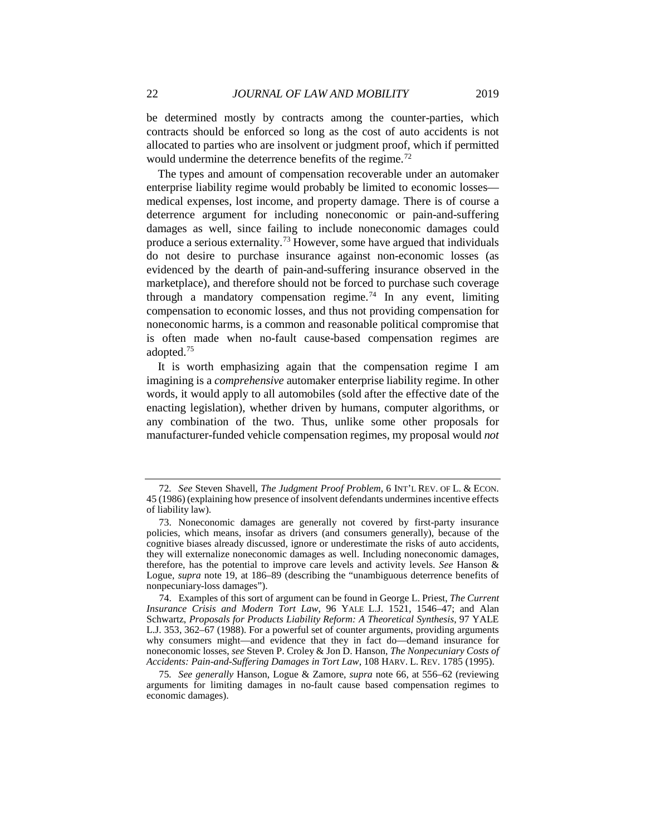be determined mostly by contracts among the counter-parties, which contracts should be enforced so long as the cost of auto accidents is not allocated to parties who are insolvent or judgment proof, which if permitted would undermine the deterrence benefits of the regime.<sup>[72](#page-22-0)</sup>

The types and amount of compensation recoverable under an automaker enterprise liability regime would probably be limited to economic losses medical expenses, lost income, and property damage. There is of course a deterrence argument for including noneconomic or pain-and-suffering damages as well, since failing to include noneconomic damages could produce a serious externality.<sup>[73](#page-22-1)</sup> However, some have argued that individuals do not desire to purchase insurance against non-economic losses (as evidenced by the dearth of pain-and-suffering insurance observed in the marketplace), and therefore should not be forced to purchase such coverage through a mandatory compensation regime.<sup>[74](#page-22-2)</sup> In any event, limiting compensation to economic losses, and thus not providing compensation for noneconomic harms, is a common and reasonable political compromise that is often made when no-fault cause-based compensation regimes are adopted.[75](#page-22-3)

It is worth emphasizing again that the compensation regime I am imagining is a *comprehensive* automaker enterprise liability regime. In other words, it would apply to all automobiles (sold after the effective date of the enacting legislation), whether driven by humans, computer algorithms, or any combination of the two. Thus, unlike some other proposals for manufacturer-funded vehicle compensation regimes, my proposal would *not*

<span id="page-22-0"></span><sup>72</sup>*. See* Steven Shavell, *The Judgment Proof Problem*, 6 INT'L REV. OF L. & ECON. 45 (1986) (explaining how presence of insolvent defendants undermines incentive effects of liability law).

<span id="page-22-1"></span><sup>73.</sup> Noneconomic damages are generally not covered by first-party insurance policies, which means, insofar as drivers (and consumers generally), because of the cognitive biases already discussed, ignore or underestimate the risks of auto accidents, they will externalize noneconomic damages as well. Including noneconomic damages, therefore, has the potential to improve care levels and activity levels. *See* Hanson & Logue, *supra* note 19, at 186–89 (describing the "unambiguous deterrence benefits of nonpecuniary-loss damages").

<span id="page-22-2"></span><sup>74.</sup> Examples of this sort of argument can be found in George L. Priest, *The Current Insurance Crisis and Modern Tort Law,* 96 YALE L.J. 1521, 1546–47; and Alan Schwartz, *Proposals for Products Liability Reform: A Theoretical Synthesis*, 97 YALE L.J. 353, 362–67 (1988). For a powerful set of counter arguments, providing arguments why consumers might—and evidence that they in fact do—demand insurance for noneconomic losses, *see* Steven P. Croley & Jon D. Hanson, *The Nonpecuniary Costs of Accidents: Pain-and-Suffering Damages in Tort Law*, 108 HARV. L. REV. 1785 (1995).

<span id="page-22-3"></span><sup>75</sup>*. See generally* Hanson, Logue & Zamore, *supra* note 66, at 556–62 (reviewing arguments for limiting damages in no-fault cause based compensation regimes to economic damages).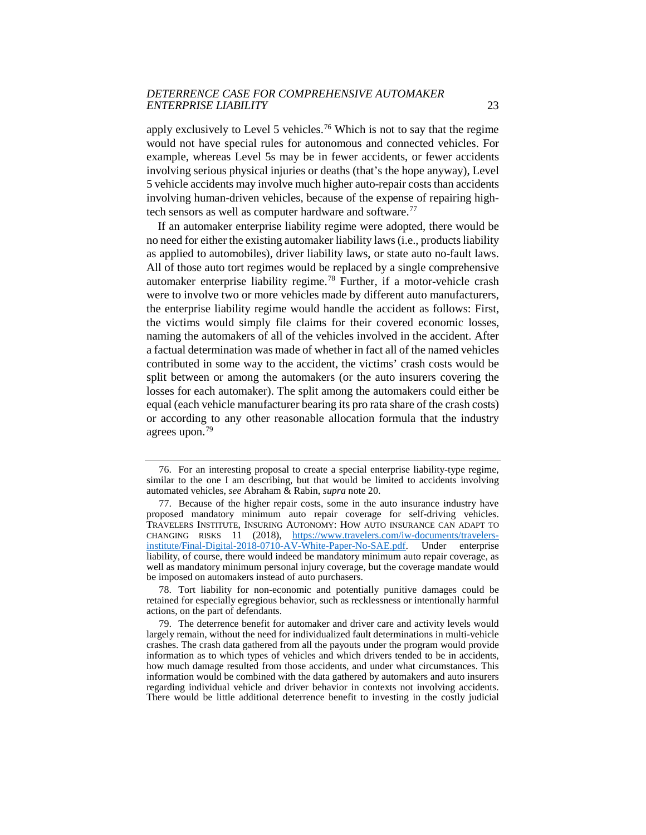apply exclusively to Level 5 vehicles.[76](#page-23-0) Which is not to say that the regime would not have special rules for autonomous and connected vehicles. For example, whereas Level 5s may be in fewer accidents, or fewer accidents involving serious physical injuries or deaths (that's the hope anyway), Level 5 vehicle accidents may involve much higher auto-repair costs than accidents involving human-driven vehicles, because of the expense of repairing high-tech sensors as well as computer hardware and software.<sup>[77](#page-23-1)</sup>

If an automaker enterprise liability regime were adopted, there would be no need for either the existing automaker liability laws (i.e., products liability as applied to automobiles), driver liability laws, or state auto no-fault laws. All of those auto tort regimes would be replaced by a single comprehensive automaker enterprise liability regime.[78](#page-23-2) Further, if a motor-vehicle crash were to involve two or more vehicles made by different auto manufacturers, the enterprise liability regime would handle the accident as follows: First, the victims would simply file claims for their covered economic losses, naming the automakers of all of the vehicles involved in the accident. After a factual determination was made of whether in fact all of the named vehicles contributed in some way to the accident, the victims' crash costs would be split between or among the automakers (or the auto insurers covering the losses for each automaker). The split among the automakers could either be equal (each vehicle manufacturer bearing its pro rata share of the crash costs) or according to any other reasonable allocation formula that the industry agrees upon.[79](#page-23-3)

<span id="page-23-0"></span><sup>76.</sup> For an interesting proposal to create a special enterprise liability-type regime, similar to the one I am describing, but that would be limited to accidents involving automated vehicles, *see* Abraham & Rabin, *supra* note 20.

<span id="page-23-1"></span><sup>77.</sup> Because of the higher repair costs, some in the auto insurance industry have proposed mandatory minimum auto repair coverage for self-driving vehicles. TRAVELERS INSTITUTE, INSURING AUTONOMY: HOW AUTO INSURANCE CAN ADAPT TO CHANGING RISKS 11 (2018), [https://www.travelers.com/iw-documents/travelers](https://www.travelers.com/iw-documents/travelers-institute/Final-Digital-2018-0710-AV-White-Paper-No-SAE.pdf)[institute/Final-Digital-2018-0710-AV-White-Paper-No-SAE.pdf.](https://www.travelers.com/iw-documents/travelers-institute/Final-Digital-2018-0710-AV-White-Paper-No-SAE.pdf) Under enterprise liability, of course, there would indeed be mandatory minimum auto repair coverage, as well as mandatory minimum personal injury coverage, but the coverage mandate would be imposed on automakers instead of auto purchasers.

<span id="page-23-2"></span><sup>78.</sup> Tort liability for non-economic and potentially punitive damages could be retained for especially egregious behavior, such as recklessness or intentionally harmful actions, on the part of defendants.

<span id="page-23-3"></span><sup>79.</sup> The deterrence benefit for automaker and driver care and activity levels would largely remain, without the need for individualized fault determinations in multi-vehicle crashes. The crash data gathered from all the payouts under the program would provide information as to which types of vehicles and which drivers tended to be in accidents, how much damage resulted from those accidents, and under what circumstances. This information would be combined with the data gathered by automakers and auto insurers regarding individual vehicle and driver behavior in contexts not involving accidents. There would be little additional deterrence benefit to investing in the costly judicial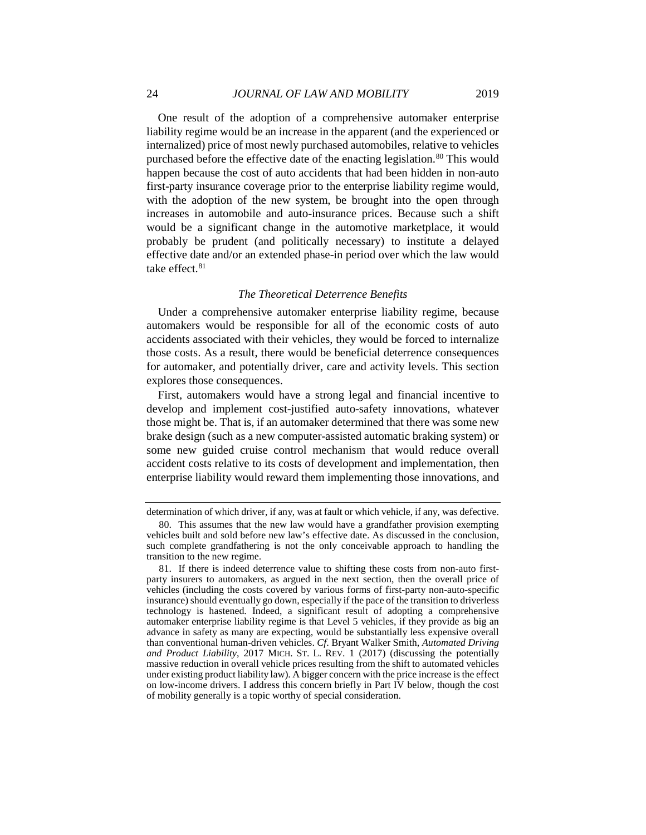One result of the adoption of a comprehensive automaker enterprise liability regime would be an increase in the apparent (and the experienced or internalized) price of most newly purchased automobiles, relative to vehicles purchased before the effective date of the enacting legislation.<sup>[80](#page-24-0)</sup> This would happen because the cost of auto accidents that had been hidden in non-auto first-party insurance coverage prior to the enterprise liability regime would, with the adoption of the new system, be brought into the open through increases in automobile and auto-insurance prices. Because such a shift would be a significant change in the automotive marketplace, it would probably be prudent (and politically necessary) to institute a delayed effective date and/or an extended phase-in period over which the law would take effect. $81$ 

#### *The Theoretical Deterrence Benefits*

Under a comprehensive automaker enterprise liability regime, because automakers would be responsible for all of the economic costs of auto accidents associated with their vehicles, they would be forced to internalize those costs. As a result, there would be beneficial deterrence consequences for automaker, and potentially driver, care and activity levels. This section explores those consequences.

First, automakers would have a strong legal and financial incentive to develop and implement cost-justified auto-safety innovations, whatever those might be. That is, if an automaker determined that there was some new brake design (such as a new computer-assisted automatic braking system) or some new guided cruise control mechanism that would reduce overall accident costs relative to its costs of development and implementation, then enterprise liability would reward them implementing those innovations, and

determination of which driver, if any, was at fault or which vehicle, if any, was defective.

<span id="page-24-0"></span><sup>80.</sup> This assumes that the new law would have a grandfather provision exempting vehicles built and sold before new law's effective date. As discussed in the conclusion, such complete grandfathering is not the only conceivable approach to handling the transition to the new regime.

<span id="page-24-1"></span><sup>81.</sup> If there is indeed deterrence value to shifting these costs from non-auto firstparty insurers to automakers, as argued in the next section, then the overall price of vehicles (including the costs covered by various forms of first-party non-auto-specific insurance) should eventually go down, especially if the pace of the transition to driverless technology is hastened. Indeed, a significant result of adopting a comprehensive automaker enterprise liability regime is that Level 5 vehicles, if they provide as big an advance in safety as many are expecting, would be substantially less expensive overall than conventional human-driven vehicles. *Cf*. Bryant Walker Smith, *Automated Driving and Product Liability*, 2017 MICH. ST. L. REV. 1 (2017) (discussing the potentially massive reduction in overall vehicle prices resulting from the shift to automated vehicles under existing product liability law). A bigger concern with the price increase is the effect on low-income drivers. I address this concern briefly in Part IV below, though the cost of mobility generally is a topic worthy of special consideration.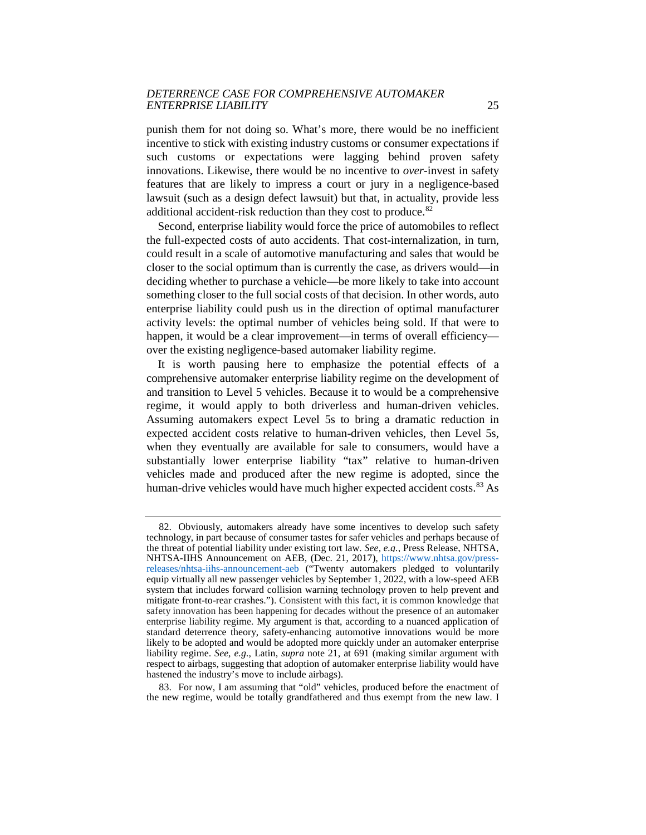punish them for not doing so. What's more, there would be no inefficient incentive to stick with existing industry customs or consumer expectations if such customs or expectations were lagging behind proven safety innovations. Likewise, there would be no incentive to *over-*invest in safety features that are likely to impress a court or jury in a negligence-based lawsuit (such as a design defect lawsuit) but that, in actuality, provide less additional accident-risk reduction than they cost to produce.<sup>82</sup>

Second, enterprise liability would force the price of automobiles to reflect the full-expected costs of auto accidents. That cost-internalization, in turn, could result in a scale of automotive manufacturing and sales that would be closer to the social optimum than is currently the case, as drivers would—in deciding whether to purchase a vehicle—be more likely to take into account something closer to the full social costs of that decision. In other words, auto enterprise liability could push us in the direction of optimal manufacturer activity levels: the optimal number of vehicles being sold. If that were to happen, it would be a clear improvement—in terms of overall efficiency over the existing negligence-based automaker liability regime.

It is worth pausing here to emphasize the potential effects of a comprehensive automaker enterprise liability regime on the development of and transition to Level 5 vehicles. Because it to would be a comprehensive regime, it would apply to both driverless and human-driven vehicles. Assuming automakers expect Level 5s to bring a dramatic reduction in expected accident costs relative to human-driven vehicles, then Level 5s, when they eventually are available for sale to consumers, would have a substantially lower enterprise liability "tax" relative to human-driven vehicles made and produced after the new regime is adopted, since the human-drive vehicles would have much higher expected accident costs.<sup>[83](#page-25-1)</sup> As

<span id="page-25-1"></span>83. For now, I am assuming that "old" vehicles, produced before the enactment of the new regime, would be totally grandfathered and thus exempt from the new law. I

<span id="page-25-0"></span><sup>82.</sup> Obviously, automakers already have some incentives to develop such safety technology, in part because of consumer tastes for safer vehicles and perhaps because of the threat of potential liability under existing tort law. *See, e.g.*, Press Release, NHTSA, NHTSA-IIHS Announcement on AEB, (Dec. 21, 2017), [https://www.nhtsa.gov/press](https://www.nhtsa.gov/press-releases/nhtsa-iihs-announcement-aeb)[releases/nhtsa-iihs-announcement-aeb](https://www.nhtsa.gov/press-releases/nhtsa-iihs-announcement-aeb) ("Twenty automakers pledged to voluntarily equip virtually all new passenger vehicles by September 1, 2022, with a low-speed AEB system that includes forward collision warning technology proven to help prevent and mitigate front-to-rear crashes."). Consistent with this fact, it is common knowledge that safety innovation has been happening for decades without the presence of an automaker enterprise liability regime. My argument is that, according to a nuanced application of standard deterrence theory, safety-enhancing automotive innovations would be more likely to be adopted and would be adopted more quickly under an automaker enterprise liability regime. *See, e.g.*, Latin, *supra* note 21, at 691 (making similar argument with respect to airbags, suggesting that adoption of automaker enterprise liability would have hastened the industry's move to include airbags).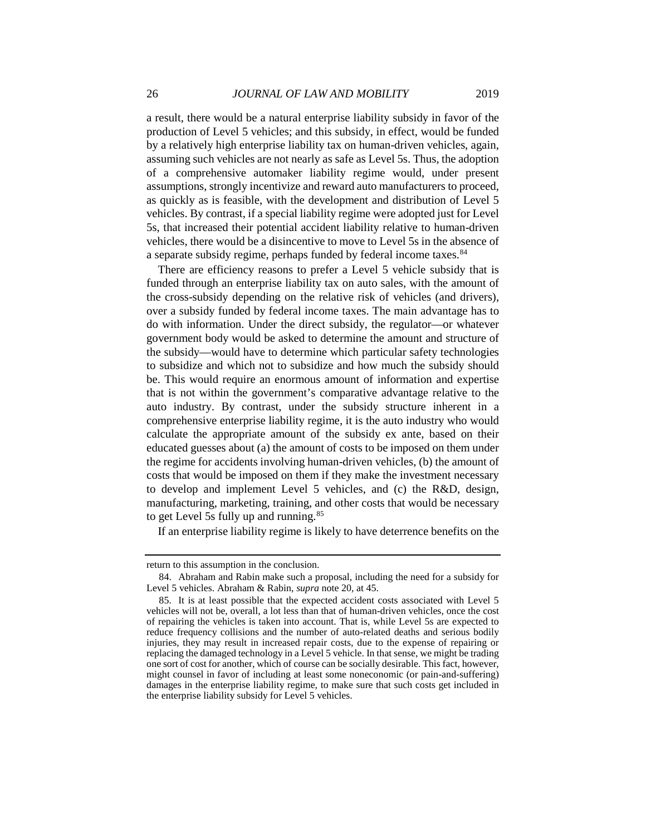a result, there would be a natural enterprise liability subsidy in favor of the production of Level 5 vehicles; and this subsidy, in effect, would be funded by a relatively high enterprise liability tax on human-driven vehicles, again, assuming such vehicles are not nearly as safe as Level 5s. Thus, the adoption of a comprehensive automaker liability regime would, under present assumptions, strongly incentivize and reward auto manufacturers to proceed, as quickly as is feasible, with the development and distribution of Level 5 vehicles. By contrast, if a special liability regime were adopted just for Level 5s, that increased their potential accident liability relative to human-driven vehicles, there would be a disincentive to move to Level 5s in the absence of a separate subsidy regime, perhaps funded by federal income taxes.<sup>[84](#page-26-0)</sup>

There are efficiency reasons to prefer a Level 5 vehicle subsidy that is funded through an enterprise liability tax on auto sales, with the amount of the cross-subsidy depending on the relative risk of vehicles (and drivers), over a subsidy funded by federal income taxes. The main advantage has to do with information. Under the direct subsidy, the regulator—or whatever government body would be asked to determine the amount and structure of the subsidy—would have to determine which particular safety technologies to subsidize and which not to subsidize and how much the subsidy should be. This would require an enormous amount of information and expertise that is not within the government's comparative advantage relative to the auto industry. By contrast, under the subsidy structure inherent in a comprehensive enterprise liability regime, it is the auto industry who would calculate the appropriate amount of the subsidy ex ante, based on their educated guesses about (a) the amount of costs to be imposed on them under the regime for accidents involving human-driven vehicles, (b) the amount of costs that would be imposed on them if they make the investment necessary to develop and implement Level 5 vehicles, and (c) the R&D, design, manufacturing, marketing, training, and other costs that would be necessary to get Level 5s fully up and running.<sup>[85](#page-26-1)</sup>

If an enterprise liability regime is likely to have deterrence benefits on the

<span id="page-26-0"></span>return to this assumption in the conclusion.

<sup>84.</sup> Abraham and Rabin make such a proposal, including the need for a subsidy for Level 5 vehicles. Abraham & Rabin, *supra* note 20, at 45.

<span id="page-26-1"></span><sup>85.</sup> It is at least possible that the expected accident costs associated with Level 5 vehicles will not be, overall, a lot less than that of human-driven vehicles, once the cost of repairing the vehicles is taken into account. That is, while Level 5s are expected to reduce frequency collisions and the number of auto-related deaths and serious bodily injuries, they may result in increased repair costs, due to the expense of repairing or replacing the damaged technology in a Level 5 vehicle. In that sense, we might be trading one sort of cost for another, which of course can be socially desirable. This fact, however, might counsel in favor of including at least some noneconomic (or pain-and-suffering) damages in the enterprise liability regime, to make sure that such costs get included in the enterprise liability subsidy for Level 5 vehicles.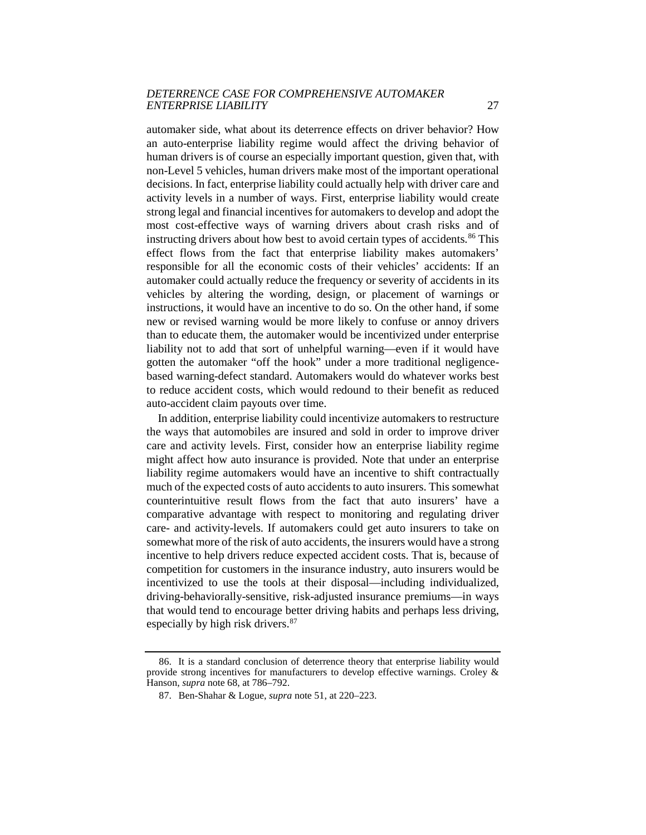automaker side, what about its deterrence effects on driver behavior? How an auto-enterprise liability regime would affect the driving behavior of human drivers is of course an especially important question, given that, with non-Level 5 vehicles, human drivers make most of the important operational decisions. In fact, enterprise liability could actually help with driver care and activity levels in a number of ways. First, enterprise liability would create strong legal and financial incentives for automakers to develop and adopt the most cost-effective ways of warning drivers about crash risks and of instructing drivers about how best to avoid certain types of accidents.<sup>[86](#page-27-0)</sup> This effect flows from the fact that enterprise liability makes automakers' responsible for all the economic costs of their vehicles' accidents: If an automaker could actually reduce the frequency or severity of accidents in its vehicles by altering the wording, design, or placement of warnings or instructions, it would have an incentive to do so. On the other hand, if some new or revised warning would be more likely to confuse or annoy drivers than to educate them, the automaker would be incentivized under enterprise liability not to add that sort of unhelpful warning—even if it would have gotten the automaker "off the hook" under a more traditional negligencebased warning-defect standard. Automakers would do whatever works best to reduce accident costs, which would redound to their benefit as reduced auto-accident claim payouts over time.

In addition, enterprise liability could incentivize automakers to restructure the ways that automobiles are insured and sold in order to improve driver care and activity levels. First, consider how an enterprise liability regime might affect how auto insurance is provided. Note that under an enterprise liability regime automakers would have an incentive to shift contractually much of the expected costs of auto accidents to auto insurers. This somewhat counterintuitive result flows from the fact that auto insurers' have a comparative advantage with respect to monitoring and regulating driver care- and activity-levels. If automakers could get auto insurers to take on somewhat more of the risk of auto accidents, the insurers would have a strong incentive to help drivers reduce expected accident costs. That is, because of competition for customers in the insurance industry, auto insurers would be incentivized to use the tools at their disposal—including individualized, driving-behaviorally-sensitive, risk-adjusted insurance premiums—in ways that would tend to encourage better driving habits and perhaps less driving, especially by high risk drivers.<sup>[87](#page-27-1)</sup>

<span id="page-27-1"></span><span id="page-27-0"></span><sup>86.</sup> It is a standard conclusion of deterrence theory that enterprise liability would provide strong incentives for manufacturers to develop effective warnings. Croley  $\&$ Hanson, *supra* note 68, at 786–792.

<sup>87.</sup> Ben-Shahar & Logue, *supra* note 51, at 220–223.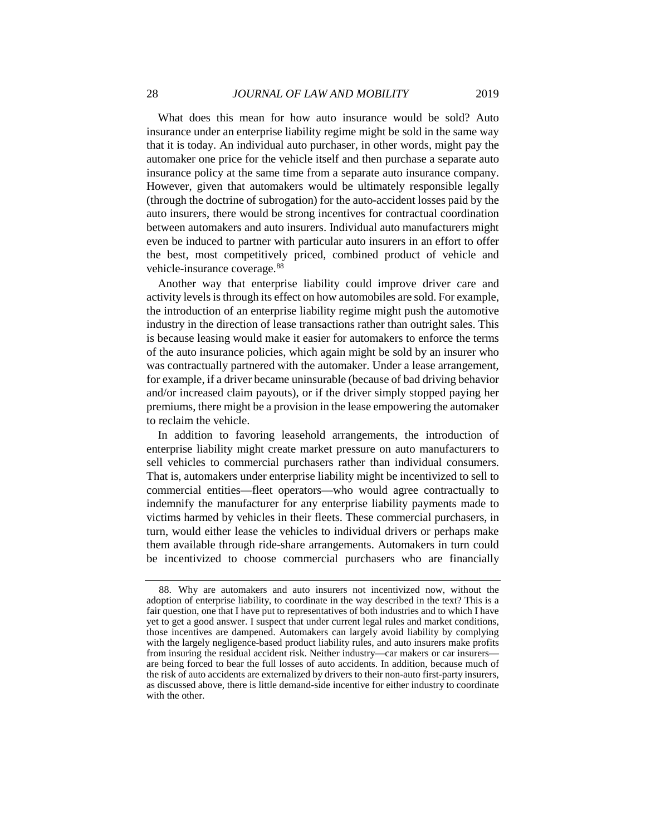What does this mean for how auto insurance would be sold? Auto insurance under an enterprise liability regime might be sold in the same way that it is today. An individual auto purchaser, in other words, might pay the automaker one price for the vehicle itself and then purchase a separate auto insurance policy at the same time from a separate auto insurance company. However, given that automakers would be ultimately responsible legally (through the doctrine of subrogation) for the auto-accident losses paid by the auto insurers, there would be strong incentives for contractual coordination between automakers and auto insurers. Individual auto manufacturers might even be induced to partner with particular auto insurers in an effort to offer the best, most competitively priced, combined product of vehicle and vehicle-insurance coverage.<sup>[88](#page-28-0)</sup>

Another way that enterprise liability could improve driver care and activity levels is through its effect on how automobiles are sold. For example, the introduction of an enterprise liability regime might push the automotive industry in the direction of lease transactions rather than outright sales. This is because leasing would make it easier for automakers to enforce the terms of the auto insurance policies, which again might be sold by an insurer who was contractually partnered with the automaker. Under a lease arrangement, for example, if a driver became uninsurable (because of bad driving behavior and/or increased claim payouts), or if the driver simply stopped paying her premiums, there might be a provision in the lease empowering the automaker to reclaim the vehicle.

In addition to favoring leasehold arrangements, the introduction of enterprise liability might create market pressure on auto manufacturers to sell vehicles to commercial purchasers rather than individual consumers. That is, automakers under enterprise liability might be incentivized to sell to commercial entities—fleet operators—who would agree contractually to indemnify the manufacturer for any enterprise liability payments made to victims harmed by vehicles in their fleets. These commercial purchasers, in turn, would either lease the vehicles to individual drivers or perhaps make them available through ride-share arrangements. Automakers in turn could be incentivized to choose commercial purchasers who are financially

<span id="page-28-0"></span><sup>88.</sup> Why are automakers and auto insurers not incentivized now, without the adoption of enterprise liability, to coordinate in the way described in the text? This is a fair question, one that I have put to representatives of both industries and to which I have yet to get a good answer. I suspect that under current legal rules and market conditions, those incentives are dampened. Automakers can largely avoid liability by complying with the largely negligence-based product liability rules, and auto insurers make profits from insuring the residual accident risk. Neither industry—car makers or car insurers are being forced to bear the full losses of auto accidents. In addition, because much of the risk of auto accidents are externalized by drivers to their non-auto first-party insurers, as discussed above, there is little demand-side incentive for either industry to coordinate with the other.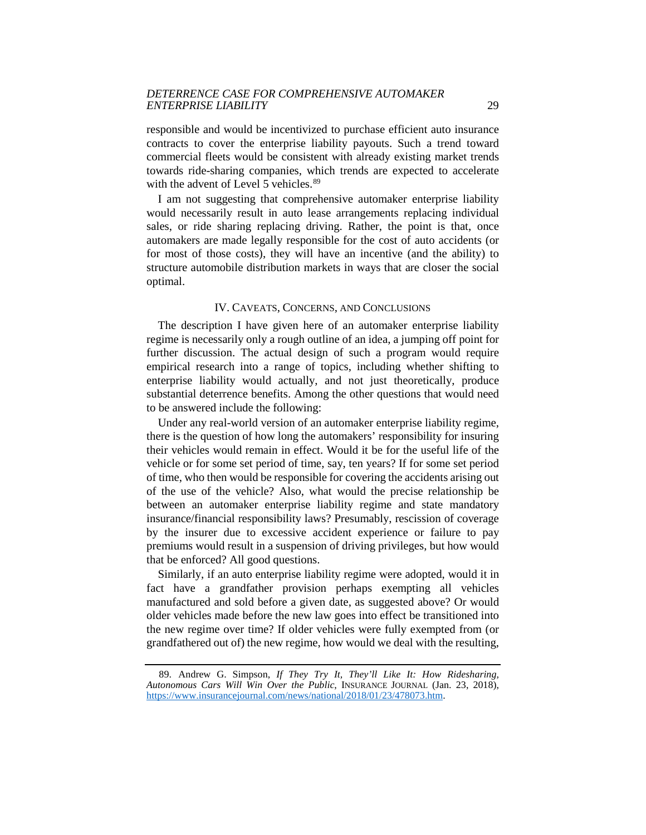responsible and would be incentivized to purchase efficient auto insurance contracts to cover the enterprise liability payouts. Such a trend toward commercial fleets would be consistent with already existing market trends towards ride-sharing companies, which trends are expected to accelerate with the advent of Level 5 vehicles.<sup>[89](#page-29-0)</sup>

I am not suggesting that comprehensive automaker enterprise liability would necessarily result in auto lease arrangements replacing individual sales, or ride sharing replacing driving. Rather, the point is that, once automakers are made legally responsible for the cost of auto accidents (or for most of those costs), they will have an incentive (and the ability) to structure automobile distribution markets in ways that are closer the social optimal.

#### IV. CAVEATS, CONCERNS, AND CONCLUSIONS

The description I have given here of an automaker enterprise liability regime is necessarily only a rough outline of an idea, a jumping off point for further discussion. The actual design of such a program would require empirical research into a range of topics, including whether shifting to enterprise liability would actually, and not just theoretically, produce substantial deterrence benefits. Among the other questions that would need to be answered include the following:

Under any real-world version of an automaker enterprise liability regime, there is the question of how long the automakers' responsibility for insuring their vehicles would remain in effect. Would it be for the useful life of the vehicle or for some set period of time, say, ten years? If for some set period of time, who then would be responsible for covering the accidents arising out of the use of the vehicle? Also, what would the precise relationship be between an automaker enterprise liability regime and state mandatory insurance/financial responsibility laws? Presumably, rescission of coverage by the insurer due to excessive accident experience or failure to pay premiums would result in a suspension of driving privileges, but how would that be enforced? All good questions.

Similarly, if an auto enterprise liability regime were adopted, would it in fact have a grandfather provision perhaps exempting all vehicles manufactured and sold before a given date, as suggested above? Or would older vehicles made before the new law goes into effect be transitioned into the new regime over time? If older vehicles were fully exempted from (or grandfathered out of) the new regime, how would we deal with the resulting,

<span id="page-29-0"></span><sup>89.</sup> Andrew G. Simpson, *If They Try It, They'll Like It: How Ridesharing, Autonomous Cars Will Win Over the Public*, INSURANCE JOURNAL (Jan. 23, 2018), [https://www.insurancejournal.com/news/national/2018/01/23/478073.htm.](https://www.insurancejournal.com/news/national/2018/01/23/478073.htm)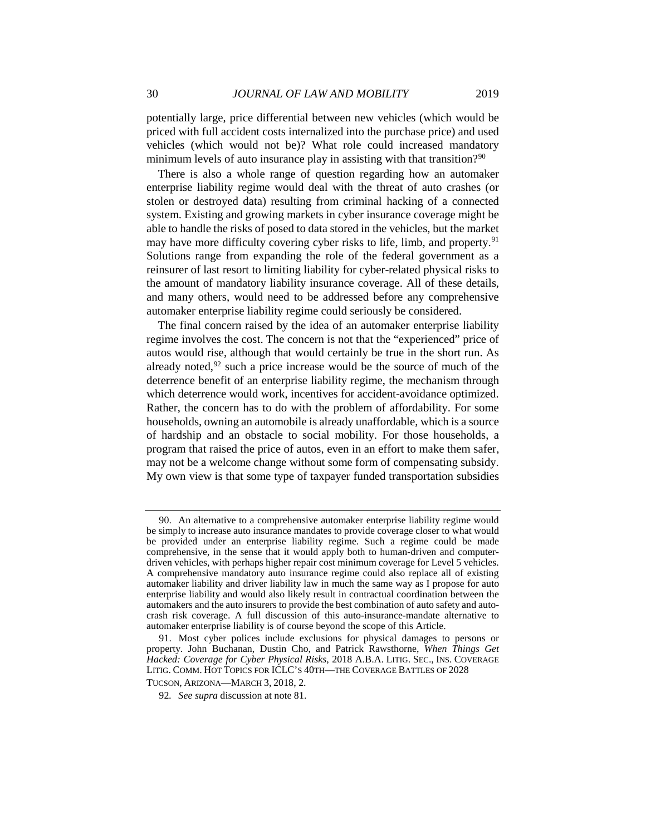potentially large, price differential between new vehicles (which would be priced with full accident costs internalized into the purchase price) and used vehicles (which would not be)? What role could increased mandatory minimum levels of auto insurance play in assisting with that transition?<sup>90</sup>

There is also a whole range of question regarding how an automaker enterprise liability regime would deal with the threat of auto crashes (or stolen or destroyed data) resulting from criminal hacking of a connected system. Existing and growing markets in cyber insurance coverage might be able to handle the risks of posed to data stored in the vehicles, but the market may have more difficulty covering cyber risks to life, limb, and property.<sup>[91](#page-30-1)</sup> Solutions range from expanding the role of the federal government as a reinsurer of last resort to limiting liability for cyber-related physical risks to the amount of mandatory liability insurance coverage. All of these details, and many others, would need to be addressed before any comprehensive automaker enterprise liability regime could seriously be considered.

The final concern raised by the idea of an automaker enterprise liability regime involves the cost. The concern is not that the "experienced" price of autos would rise, although that would certainly be true in the short run. As already noted, $92$  such a price increase would be the source of much of the deterrence benefit of an enterprise liability regime, the mechanism through which deterrence would work, incentives for accident-avoidance optimized. Rather, the concern has to do with the problem of affordability. For some households, owning an automobile is already unaffordable, which is a source of hardship and an obstacle to social mobility. For those households, a program that raised the price of autos, even in an effort to make them safer, may not be a welcome change without some form of compensating subsidy. My own view is that some type of taxpayer funded transportation subsidies

<span id="page-30-0"></span><sup>90.</sup> An alternative to a comprehensive automaker enterprise liability regime would be simply to increase auto insurance mandates to provide coverage closer to what would be provided under an enterprise liability regime. Such a regime could be made comprehensive, in the sense that it would apply both to human-driven and computerdriven vehicles, with perhaps higher repair cost minimum coverage for Level 5 vehicles. A comprehensive mandatory auto insurance regime could also replace all of existing automaker liability and driver liability law in much the same way as I propose for auto enterprise liability and would also likely result in contractual coordination between the automakers and the auto insurers to provide the best combination of auto safety and autocrash risk coverage. A full discussion of this auto-insurance-mandate alternative to automaker enterprise liability is of course beyond the scope of this Article.

<span id="page-30-2"></span><span id="page-30-1"></span><sup>91.</sup> Most cyber polices include exclusions for physical damages to persons or property. John Buchanan, Dustin Cho, and Patrick Rawsthorne, *When Things Get Hacked: Coverage for Cyber Physical Risks*, 2018 A.B.A. LITIG. SEC., INS. COVERAGE LITIG. COMM. HOT TOPICS FOR ICLC'S 40TH—THE COVERAGE BATTLES OF 2028 TUCSON, ARIZONA—MARCH 3, 2018, 2.

<sup>92</sup>*. See supra* discussion at note 81.